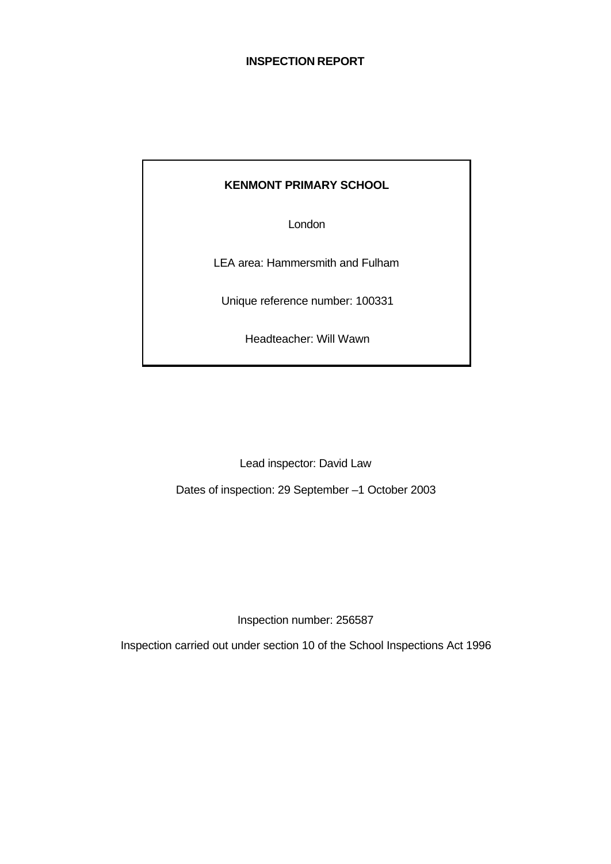#### **INSPECTION REPORT**

#### **KENMONT PRIMARY SCHOOL**

London

LEA area: Hammersmith and Fulham

Unique reference number: 100331

Headteacher: Will Wawn

Lead inspector: David Law

Dates of inspection: 29 September –1 October 2003

Inspection number: 256587

Inspection carried out under section 10 of the School Inspections Act 1996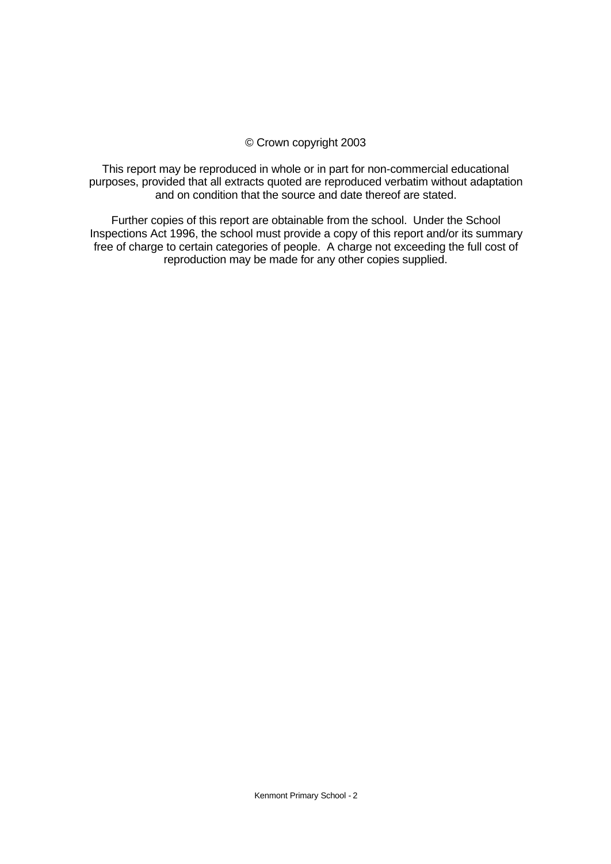#### © Crown copyright 2003

This report may be reproduced in whole or in part for non-commercial educational purposes, provided that all extracts quoted are reproduced verbatim without adaptation and on condition that the source and date thereof are stated.

Further copies of this report are obtainable from the school. Under the School Inspections Act 1996, the school must provide a copy of this report and/or its summary free of charge to certain categories of people. A charge not exceeding the full cost of reproduction may be made for any other copies supplied.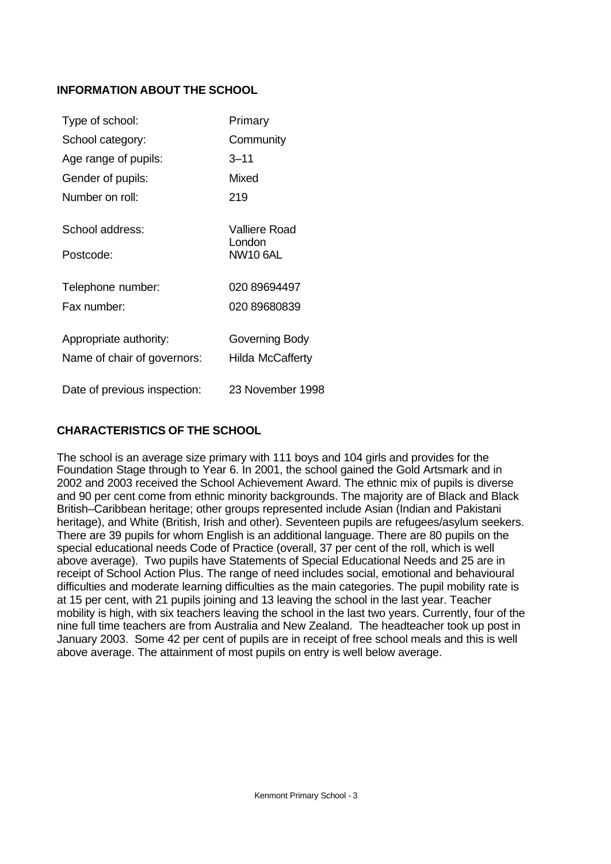# **INFORMATION ABOUT THE SCHOOL**

| Type of school:                                       | Primary                                    |
|-------------------------------------------------------|--------------------------------------------|
| School category:                                      | Community                                  |
| Age range of pupils:                                  | $3 - 11$                                   |
| Gender of pupils:                                     | Mixed                                      |
| Number on roll:                                       | 219                                        |
| School address:<br>Postcode:                          | Valliere Road<br>London<br><b>NW10 6AL</b> |
| Telephone number:                                     | 020 89694497                               |
| Fax number:                                           | 020 89680839                               |
| Appropriate authority:<br>Name of chair of governors: | Governing Body<br><b>Hilda McCafferty</b>  |
| Date of previous inspection:                          | 23 November 1998                           |

# **CHARACTERISTICS OF THE SCHOOL**

The school is an average size primary with 111 boys and 104 girls and provides for the Foundation Stage through to Year 6. In 2001, the school gained the Gold Artsmark and in 2002 and 2003 received the School Achievement Award. The ethnic mix of pupils is diverse and 90 per cent come from ethnic minority backgrounds. The majority are of Black and Black British–Caribbean heritage; other groups represented include Asian (Indian and Pakistani heritage), and White (British, Irish and other). Seventeen pupils are refugees/asylum seekers. There are 39 pupils for whom English is an additional language. There are 80 pupils on the special educational needs Code of Practice (overall, 37 per cent of the roll, which is well above average). Two pupils have Statements of Special Educational Needs and 25 are in receipt of School Action Plus. The range of need includes social, emotional and behavioural difficulties and moderate learning difficulties as the main categories. The pupil mobility rate is at 15 per cent, with 21 pupils joining and 13 leaving the school in the last year. Teacher mobility is high, with six teachers leaving the school in the last two years. Currently, four of the nine full time teachers are from Australia and New Zealand. The headteacher took up post in January 2003. Some 42 per cent of pupils are in receipt of free school meals and this is well above average. The attainment of most pupils on entry is well below average.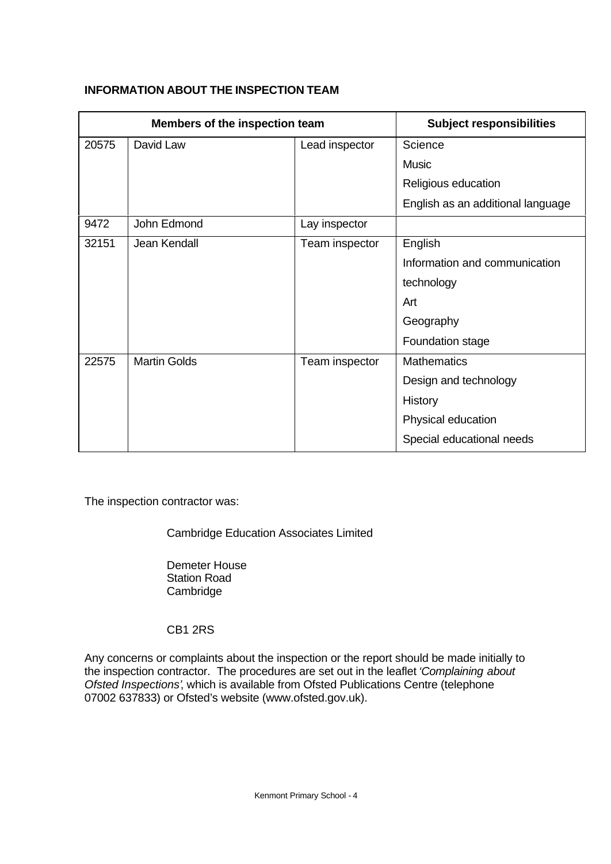|       | Members of the inspection team |                | <b>Subject responsibilities</b>   |
|-------|--------------------------------|----------------|-----------------------------------|
| 20575 | David Law                      | Lead inspector | Science                           |
|       |                                |                | <b>Music</b>                      |
|       |                                |                | Religious education               |
|       |                                |                | English as an additional language |
| 9472  | John Edmond                    | Lay inspector  |                                   |
| 32151 | Jean Kendall                   | Team inspector | English                           |
|       |                                |                | Information and communication     |
|       |                                |                | technology                        |
|       |                                |                | Art                               |
|       |                                |                | Geography                         |
|       |                                |                | Foundation stage                  |
| 22575 | <b>Martin Golds</b>            | Team inspector | <b>Mathematics</b>                |
|       |                                |                | Design and technology             |
|       |                                |                | History                           |
|       |                                |                | Physical education                |
|       |                                |                | Special educational needs         |

# **INFORMATION ABOUT THE INSPECTION TEAM**

The inspection contractor was:

Cambridge Education Associates Limited

Demeter House Station Road Cambridge

CB1 2RS

Any concerns or complaints about the inspection or the report should be made initially to the inspection contractor. The procedures are set out in the leaflet *'Complaining about Ofsted Inspections'*, which is available from Ofsted Publications Centre (telephone 07002 637833) or Ofsted's website (www.ofsted.gov.uk).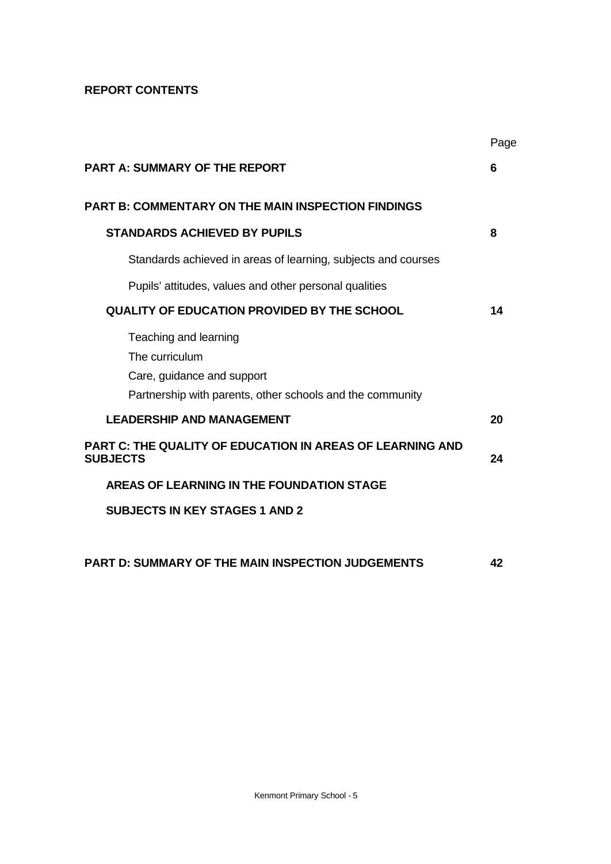# **REPORT CONTENTS**

|                                                                                                                                    | Page |
|------------------------------------------------------------------------------------------------------------------------------------|------|
| <b>PART A: SUMMARY OF THE REPORT</b>                                                                                               | 6    |
| <b>PART B: COMMENTARY ON THE MAIN INSPECTION FINDINGS</b>                                                                          |      |
| <b>STANDARDS ACHIEVED BY PUPILS</b>                                                                                                | 8    |
| Standards achieved in areas of learning, subjects and courses                                                                      |      |
| Pupils' attitudes, values and other personal qualities                                                                             |      |
| QUALITY OF EDUCATION PROVIDED BY THE SCHOOL                                                                                        | 14   |
| Teaching and learning<br>The curriculum<br>Care, guidance and support<br>Partnership with parents, other schools and the community |      |
| <b>LEADERSHIP AND MANAGEMENT</b>                                                                                                   | 20   |
| <b>PART C: THE QUALITY OF EDUCATION IN AREAS OF LEARNING AND</b><br><b>SUBJECTS</b>                                                | 24   |
| AREAS OF LEARNING IN THE FOUNDATION STAGE                                                                                          |      |
| <b>SUBJECTS IN KEY STAGES 1 AND 2</b>                                                                                              |      |
| <b>PART D: SUMMARY OF THE MAIN INSPECTION JUDGEMENTS</b>                                                                           | 42   |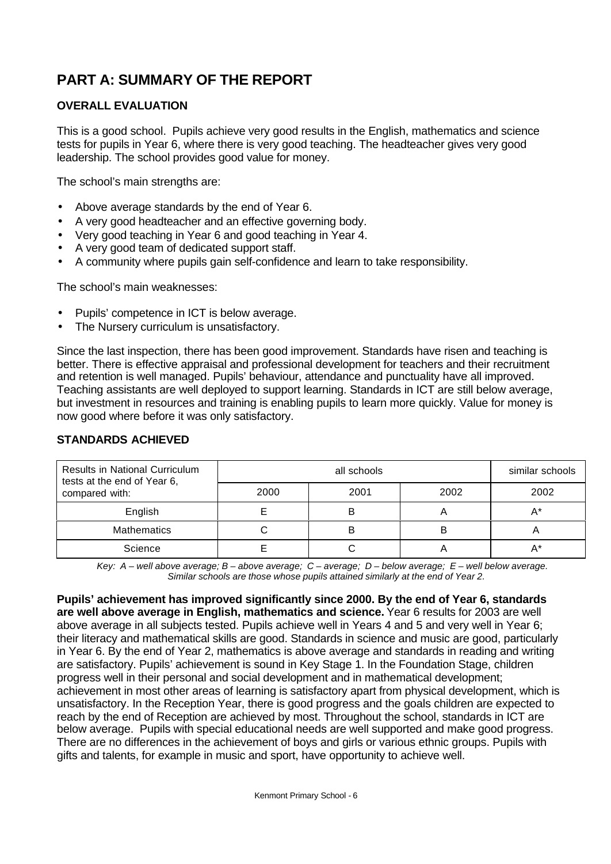# **PART A: SUMMARY OF THE REPORT**

# **OVERALL EVALUATION**

This is a good school. Pupils achieve very good results in the English, mathematics and science tests for pupils in Year 6, where there is very good teaching. The headteacher gives very good leadership. The school provides good value for money.

The school's main strengths are:

- Above average standards by the end of Year 6.
- A very good headteacher and an effective governing body.
- Very good teaching in Year 6 and good teaching in Year 4.
- A very good team of dedicated support staff.
- A community where pupils gain self-confidence and learn to take responsibility.

The school's main weaknesses:

- Pupils' competence in ICT is below average.
- The Nursery curriculum is unsatisfactory.

Since the last inspection, there has been good improvement. Standards have risen and teaching is better. There is effective appraisal and professional development for teachers and their recruitment and retention is well managed. Pupils' behaviour, attendance and punctuality have all improved. Teaching assistants are well deployed to support learning. Standards in ICT are still below average, but investment in resources and training is enabling pupils to learn more quickly. Value for money is now good where before it was only satisfactory.

| <b>Results in National Curriculum</b><br>tests at the end of Year 6, |      | similar schools |      |      |
|----------------------------------------------------------------------|------|-----------------|------|------|
| compared with:                                                       | 2000 | 2001            | 2002 | 2002 |
| English                                                              |      | в               |      | A*   |
| <b>Mathematics</b>                                                   |      | B               | B    | Ħ    |
| Science                                                              |      |                 |      |      |

# **STANDARDS ACHIEVED**

*Key: A – well above average; B – above average; C – average; D – below average; E – well below average. Similar schools are those whose pupils attained similarly at the end of Year 2.*

**Pupils' achievement has improved significantly since 2000. By the end of Year 6, standards are well above average in English, mathematics and science.** Year 6 results for 2003 are well above average in all subjects tested. Pupils achieve well in Years 4 and 5 and very well in Year 6; their literacy and mathematical skills are good. Standards in science and music are good, particularly in Year 6. By the end of Year 2, mathematics is above average and standards in reading and writing are satisfactory. Pupils' achievement is sound in Key Stage 1. In the Foundation Stage, children progress well in their personal and social development and in mathematical development; achievement in most other areas of learning is satisfactory apart from physical development, which is unsatisfactory. In the Reception Year, there is good progress and the goals children are expected to reach by the end of Reception are achieved by most. Throughout the school, standards in ICT are below average. Pupils with special educational needs are well supported and make good progress. There are no differences in the achievement of boys and girls or various ethnic groups. Pupils with gifts and talents, for example in music and sport, have opportunity to achieve well.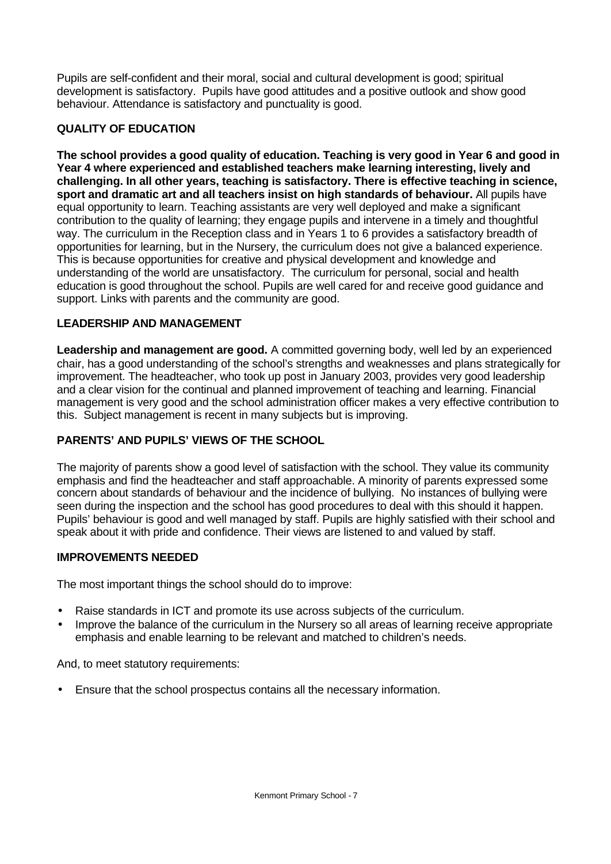Pupils are self-confident and their moral, social and cultural development is good; spiritual development is satisfactory. Pupils have good attitudes and a positive outlook and show good behaviour. Attendance is satisfactory and punctuality is good.

# **QUALITY OF EDUCATION**

**The school provides a good quality of education. Teaching is very good in Year 6 and good in Year 4 where experienced and established teachers make learning interesting, lively and challenging. In all other years, teaching is satisfactory. There is effective teaching in science, sport and dramatic art and all teachers insist on high standards of behaviour.** All pupils have equal opportunity to learn. Teaching assistants are very well deployed and make a significant contribution to the quality of learning; they engage pupils and intervene in a timely and thoughtful way. The curriculum in the Reception class and in Years 1 to 6 provides a satisfactory breadth of opportunities for learning, but in the Nursery, the curriculum does not give a balanced experience. This is because opportunities for creative and physical development and knowledge and understanding of the world are unsatisfactory. The curriculum for personal, social and health education is good throughout the school. Pupils are well cared for and receive good guidance and support. Links with parents and the community are good.

# **LEADERSHIP AND MANAGEMENT**

**Leadership and management are good.** A committed governing body, well led by an experienced chair, has a good understanding of the school's strengths and weaknesses and plans strategically for improvement. The headteacher, who took up post in January 2003, provides very good leadership and a clear vision for the continual and planned improvement of teaching and learning. Financial management is very good and the school administration officer makes a very effective contribution to this. Subject management is recent in many subjects but is improving.

# **PARENTS' AND PUPILS' VIEWS OF THE SCHOOL**

The majority of parents show a good level of satisfaction with the school. They value its community emphasis and find the headteacher and staff approachable. A minority of parents expressed some concern about standards of behaviour and the incidence of bullying. No instances of bullying were seen during the inspection and the school has good procedures to deal with this should it happen. Pupils' behaviour is good and well managed by staff. Pupils are highly satisfied with their school and speak about it with pride and confidence. Their views are listened to and valued by staff.

# **IMPROVEMENTS NEEDED**

The most important things the school should do to improve:

- Raise standards in ICT and promote its use across subjects of the curriculum.
- Improve the balance of the curriculum in the Nursery so all areas of learning receive appropriate emphasis and enable learning to be relevant and matched to children's needs.

And, to meet statutory requirements:

• Ensure that the school prospectus contains all the necessary information.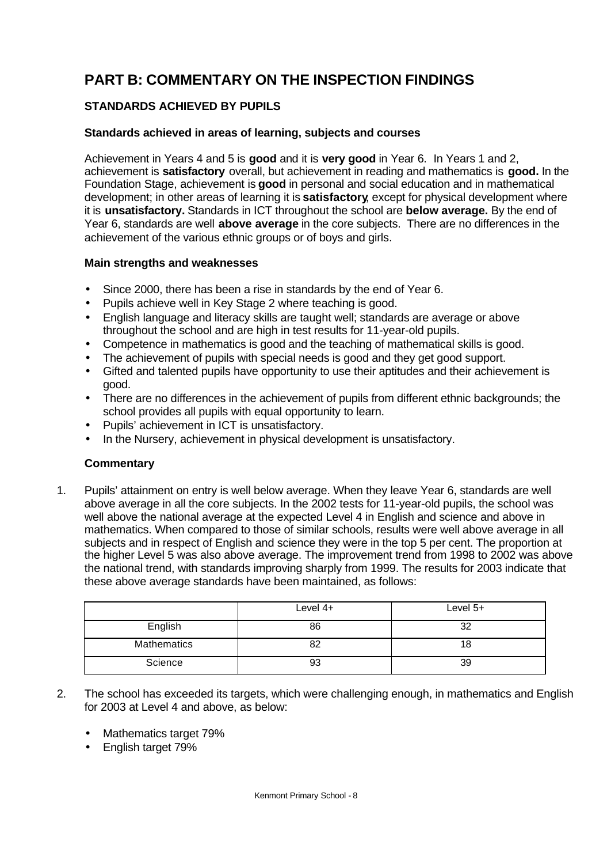# **PART B: COMMENTARY ON THE INSPECTION FINDINGS**

# **STANDARDS ACHIEVED BY PUPILS**

# **Standards achieved in areas of learning, subjects and courses**

Achievement in Years 4 and 5 is **good** and it is **very good** in Year 6.In Years 1 and 2, achievement is **satisfactory** overall, but achievement in reading and mathematics is **good.** In the Foundation Stage, achievement is **good** in personal and social education and in mathematical development; in other areas of learning it is **satisfactory**, except for physical development where it is **unsatisfactory.** Standards in ICT throughout the school are **below average.** By the end of Year 6, standards are well **above average** in the core subjects. There are no differences in the achievement of the various ethnic groups or of boys and girls.

#### **Main strengths and weaknesses**

- Since 2000, there has been a rise in standards by the end of Year 6.
- Pupils achieve well in Key Stage 2 where teaching is good.
- English language and literacy skills are taught well; standards are average or above throughout the school and are high in test results for 11-year-old pupils.
- Competence in mathematics is good and the teaching of mathematical skills is good.
- The achievement of pupils with special needs is good and they get good support.
- Gifted and talented pupils have opportunity to use their aptitudes and their achievement is good.
- There are no differences in the achievement of pupils from different ethnic backgrounds; the school provides all pupils with equal opportunity to learn.
- Pupils' achievement in ICT is unsatisfactory.
- In the Nursery, achievement in physical development is unsatisfactory.

# **Commentary**

1. Pupils' attainment on entry is well below average. When they leave Year 6, standards are well above average in all the core subjects. In the 2002 tests for 11-year-old pupils, the school was well above the national average at the expected Level 4 in English and science and above in mathematics. When compared to those of similar schools, results were well above average in all subjects and in respect of English and science they were in the top 5 per cent. The proportion at the higher Level 5 was also above average. The improvement trend from 1998 to 2002 was above the national trend, with standards improving sharply from 1999. The results for 2003 indicate that these above average standards have been maintained, as follows:

|             | Level 4+ | Level 5+ |
|-------------|----------|----------|
| English     | 86       | 32       |
| Mathematics | 82       | 18       |
| Science     | 93       | 39       |

- 2. The school has exceeded its targets, which were challenging enough, in mathematics and English for 2003 at Level 4 and above, as below:
	- Mathematics target 79%
	- English target 79%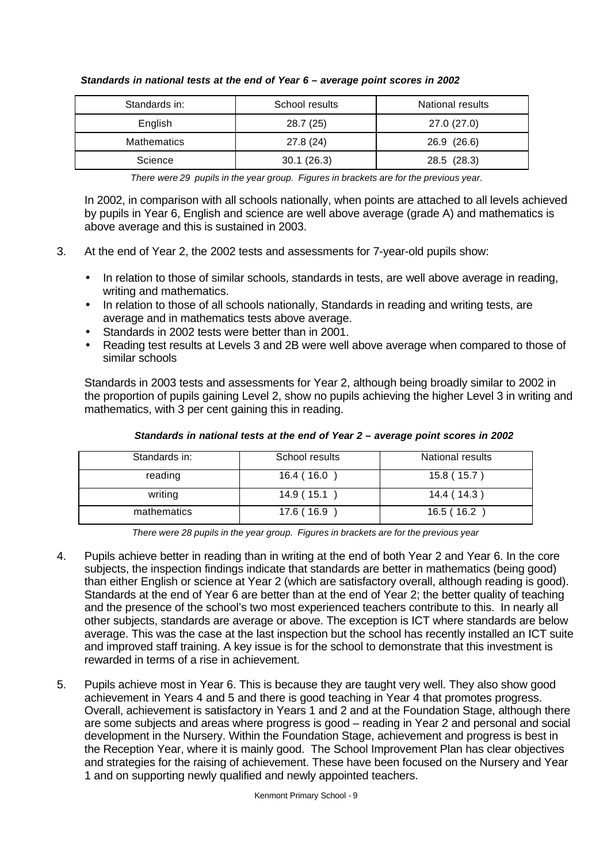| Standards in:      | School results | <b>National results</b> |  |
|--------------------|----------------|-------------------------|--|
| English            | 28.7(25)       | 27.0 (27.0)             |  |
| <b>Mathematics</b> | 27.8 (24)      | 26.9 (26.6)             |  |
| Science            | 30.1(26.3)     | 28.5 (28.3)             |  |

#### *Standards in national tests at the end of Year 6 – average point scores in 2002*

*There were 29 pupils in the year group. Figures in brackets are for the previous year.*

In 2002, in comparison with all schools nationally, when points are attached to all levels achieved by pupils in Year 6, English and science are well above average (grade A) and mathematics is above average and this is sustained in 2003.

- 3. At the end of Year 2, the 2002 tests and assessments for 7-year-old pupils show:
	- In relation to those of similar schools, standards in tests, are well above average in reading, writing and mathematics.
	- In relation to those of all schools nationally, Standards in reading and writing tests, are average and in mathematics tests above average.
	- Standards in 2002 tests were better than in 2001.
	- Reading test results at Levels 3 and 2B were well above average when compared to those of similar schools

Standards in 2003 tests and assessments for Year 2, although being broadly similar to 2002 in the proportion of pupils gaining Level 2, show no pupils achieving the higher Level 3 in writing and mathematics, with 3 per cent gaining this in reading.

| Standards in: | School results | National results |
|---------------|----------------|------------------|
| reading       | 16.4 ( 16.0    | 15.8 (15.7)      |
| writing       | 14.9 ( 15.1    | 14.4(14.3)       |
| mathematics   | 17.6 (16.9     | 16.5 ( 16.2      |

#### *Standards in national tests at the end of Year 2 – average point scores in 2002*

*There were 28 pupils in the year group. Figures in brackets are for the previous year*

- 4. Pupils achieve better in reading than in writing at the end of both Year 2 and Year 6. In the core subjects, the inspection findings indicate that standards are better in mathematics (being good) than either English or science at Year 2 (which are satisfactory overall, although reading is good). Standards at the end of Year 6 are better than at the end of Year 2; the better quality of teaching and the presence of the school's two most experienced teachers contribute to this. In nearly all other subjects, standards are average or above. The exception is ICT where standards are below average. This was the case at the last inspection but the school has recently installed an ICT suite and improved staff training. A key issue is for the school to demonstrate that this investment is rewarded in terms of a rise in achievement.
- 5. Pupils achieve most in Year 6. This is because they are taught very well. They also show good achievement in Years 4 and 5 and there is good teaching in Year 4 that promotes progress. Overall, achievement is satisfactory in Years 1 and 2 and at the Foundation Stage, although there are some subjects and areas where progress is good – reading in Year 2 and personal and social development in the Nursery. Within the Foundation Stage, achievement and progress is best in the Reception Year, where it is mainly good. The School Improvement Plan has clear objectives and strategies for the raising of achievement. These have been focused on the Nursery and Year 1 and on supporting newly qualified and newly appointed teachers.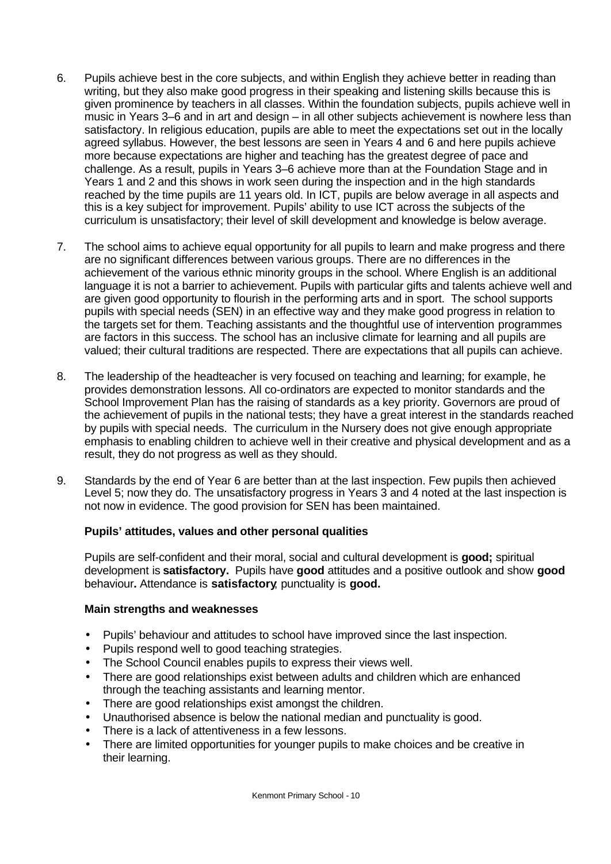- 6. Pupils achieve best in the core subjects, and within English they achieve better in reading than writing, but they also make good progress in their speaking and listening skills because this is given prominence by teachers in all classes. Within the foundation subjects, pupils achieve well in music in Years 3–6 and in art and design – in all other subjects achievement is nowhere less than satisfactory. In religious education, pupils are able to meet the expectations set out in the locally agreed syllabus. However, the best lessons are seen in Years 4 and 6 and here pupils achieve more because expectations are higher and teaching has the greatest degree of pace and challenge. As a result, pupils in Years 3–6 achieve more than at the Foundation Stage and in Years 1 and 2 and this shows in work seen during the inspection and in the high standards reached by the time pupils are 11 years old. In ICT, pupils are below average in all aspects and this is a key subject for improvement. Pupils' ability to use ICT across the subjects of the curriculum is unsatisfactory; their level of skill development and knowledge is below average.
- 7. The school aims to achieve equal opportunity for all pupils to learn and make progress and there are no significant differences between various groups. There are no differences in the achievement of the various ethnic minority groups in the school. Where English is an additional language it is not a barrier to achievement. Pupils with particular gifts and talents achieve well and are given good opportunity to flourish in the performing arts and in sport. The school supports pupils with special needs (SEN) in an effective way and they make good progress in relation to the targets set for them. Teaching assistants and the thoughtful use of intervention programmes are factors in this success. The school has an inclusive climate for learning and all pupils are valued; their cultural traditions are respected. There are expectations that all pupils can achieve.
- 8. The leadership of the headteacher is very focused on teaching and learning; for example, he provides demonstration lessons. All co-ordinators are expected to monitor standards and the School Improvement Plan has the raising of standards as a key priority. Governors are proud of the achievement of pupils in the national tests; they have a great interest in the standards reached by pupils with special needs. The curriculum in the Nursery does not give enough appropriate emphasis to enabling children to achieve well in their creative and physical development and as a result, they do not progress as well as they should.
- 9. Standards by the end of Year 6 are better than at the last inspection. Few pupils then achieved Level 5; now they do. The unsatisfactory progress in Years 3 and 4 noted at the last inspection is not now in evidence. The good provision for SEN has been maintained.

# **Pupils' attitudes, values and other personal qualities**

Pupils are self-confident and their moral, social and cultural development is **good;** spiritual development is **satisfactory.** Pupils have **good** attitudes and a positive outlook and show **good** behaviour**.** Attendance is **satisfactory**; punctuality is **good.**

#### **Main strengths and weaknesses**

- Pupils' behaviour and attitudes to school have improved since the last inspection.
- Pupils respond well to good teaching strategies.
- The School Council enables pupils to express their views well.
- There are good relationships exist between adults and children which are enhanced through the teaching assistants and learning mentor.
- There are good relationships exist amongst the children.
- Unauthorised absence is below the national median and punctuality is good.
- There is a lack of attentiveness in a few lessons.
- There are limited opportunities for younger pupils to make choices and be creative in their learning.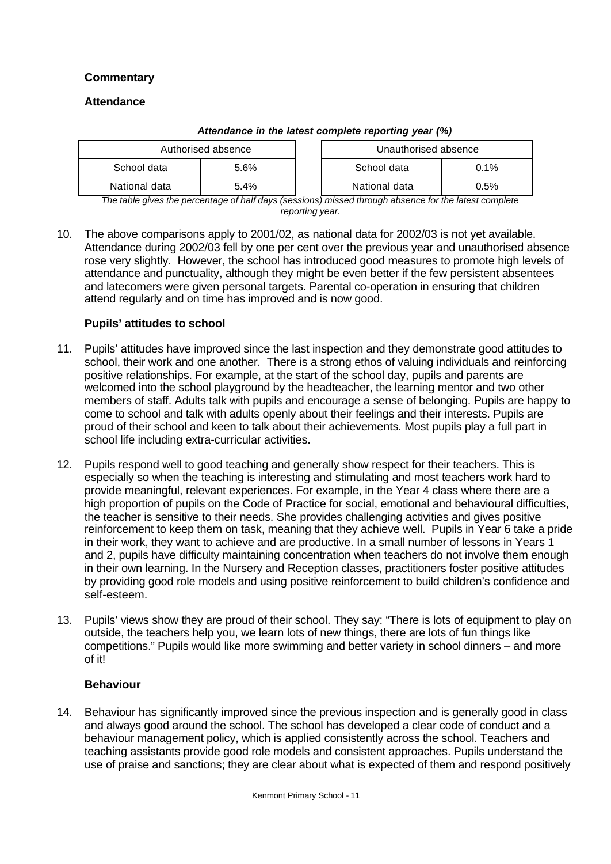# **Commentary**

#### **Attendance**

| Authorised absence |      |  | Unauthorised absence |      |
|--------------------|------|--|----------------------|------|
| School data        | 5.6% |  | 0.1%<br>School data  |      |
| National data      | 5.4% |  | National data        | 0.5% |

#### *Attendance in the latest complete reporting year (%)*

*The table gives the percentage of half days (sessions) missed through absence for the latest complete reporting year.*

10. The above comparisons apply to 2001/02, as national data for 2002/03 is not yet available. Attendance during 2002/03 fell by one per cent over the previous year and unauthorised absence rose very slightly. However, the school has introduced good measures to promote high levels of attendance and punctuality, although they might be even better if the few persistent absentees and latecomers were given personal targets. Parental co-operation in ensuring that children attend regularly and on time has improved and is now good.

# **Pupils' attitudes to school**

- 11. Pupils' attitudes have improved since the last inspection and they demonstrate good attitudes to school, their work and one another. There is a strong ethos of valuing individuals and reinforcing positive relationships. For example, at the start of the school day, pupils and parents are welcomed into the school playground by the headteacher, the learning mentor and two other members of staff. Adults talk with pupils and encourage a sense of belonging. Pupils are happy to come to school and talk with adults openly about their feelings and their interests. Pupils are proud of their school and keen to talk about their achievements. Most pupils play a full part in school life including extra-curricular activities.
- 12. Pupils respond well to good teaching and generally show respect for their teachers. This is especially so when the teaching is interesting and stimulating and most teachers work hard to provide meaningful, relevant experiences. For example, in the Year 4 class where there are a high proportion of pupils on the Code of Practice for social, emotional and behavioural difficulties, the teacher is sensitive to their needs. She provides challenging activities and gives positive reinforcement to keep them on task, meaning that they achieve well. Pupils in Year 6 take a pride in their work, they want to achieve and are productive. In a small number of lessons in Years 1 and 2, pupils have difficulty maintaining concentration when teachers do not involve them enough in their own learning. In the Nursery and Reception classes, practitioners foster positive attitudes by providing good role models and using positive reinforcement to build children's confidence and self-esteem.
- 13. Pupils' views show they are proud of their school. They say: "There is lots of equipment to play on outside, the teachers help you, we learn lots of new things, there are lots of fun things like competitions." Pupils would like more swimming and better variety in school dinners – and more of it!

#### **Behaviour**

14. Behaviour has significantly improved since the previous inspection and is generally good in class and always good around the school. The school has developed a clear code of conduct and a behaviour management policy, which is applied consistently across the school. Teachers and teaching assistants provide good role models and consistent approaches. Pupils understand the use of praise and sanctions; they are clear about what is expected of them and respond positively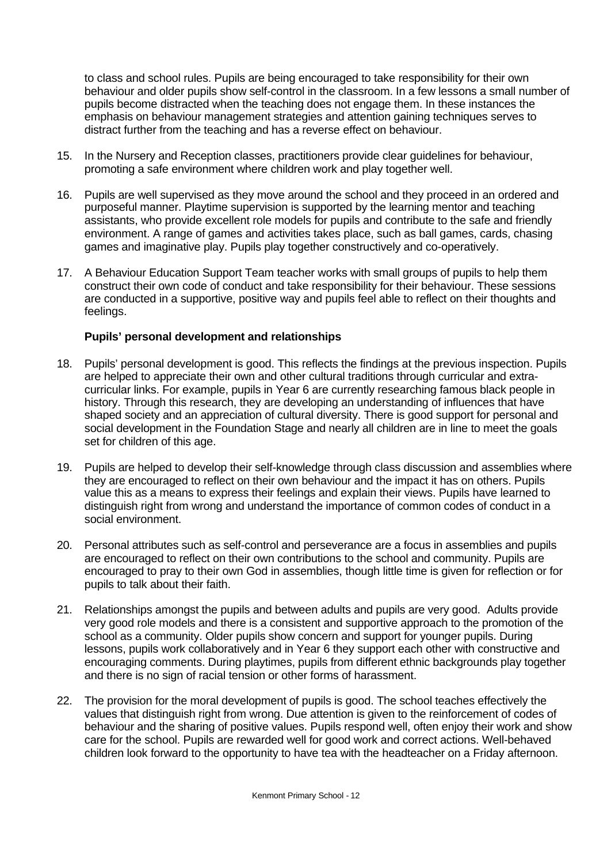to class and school rules. Pupils are being encouraged to take responsibility for their own behaviour and older pupils show self-control in the classroom. In a few lessons a small number of pupils become distracted when the teaching does not engage them. In these instances the emphasis on behaviour management strategies and attention gaining techniques serves to distract further from the teaching and has a reverse effect on behaviour.

- 15. In the Nursery and Reception classes, practitioners provide clear guidelines for behaviour, promoting a safe environment where children work and play together well.
- 16. Pupils are well supervised as they move around the school and they proceed in an ordered and purposeful manner. Playtime supervision is supported by the learning mentor and teaching assistants, who provide excellent role models for pupils and contribute to the safe and friendly environment. A range of games and activities takes place, such as ball games, cards, chasing games and imaginative play. Pupils play together constructively and co-operatively.
- 17. A Behaviour Education Support Team teacher works with small groups of pupils to help them construct their own code of conduct and take responsibility for their behaviour. These sessions are conducted in a supportive, positive way and pupils feel able to reflect on their thoughts and feelings.

# **Pupils' personal development and relationships**

- 18. Pupils' personal development is good. This reflects the findings at the previous inspection. Pupils are helped to appreciate their own and other cultural traditions through curricular and extracurricular links. For example, pupils in Year 6 are currently researching famous black people in history. Through this research, they are developing an understanding of influences that have shaped society and an appreciation of cultural diversity. There is good support for personal and social development in the Foundation Stage and nearly all children are in line to meet the goals set for children of this age.
- 19. Pupils are helped to develop their self-knowledge through class discussion and assemblies where they are encouraged to reflect on their own behaviour and the impact it has on others. Pupils value this as a means to express their feelings and explain their views. Pupils have learned to distinguish right from wrong and understand the importance of common codes of conduct in a social environment.
- 20. Personal attributes such as self-control and perseverance are a focus in assemblies and pupils are encouraged to reflect on their own contributions to the school and community. Pupils are encouraged to pray to their own God in assemblies, though little time is given for reflection or for pupils to talk about their faith.
- 21. Relationships amongst the pupils and between adults and pupils are very good. Adults provide very good role models and there is a consistent and supportive approach to the promotion of the school as a community. Older pupils show concern and support for younger pupils. During lessons, pupils work collaboratively and in Year 6 they support each other with constructive and encouraging comments. During playtimes, pupils from different ethnic backgrounds play together and there is no sign of racial tension or other forms of harassment.
- 22. The provision for the moral development of pupils is good. The school teaches effectively the values that distinguish right from wrong. Due attention is given to the reinforcement of codes of behaviour and the sharing of positive values. Pupils respond well, often enjoy their work and show care for the school. Pupils are rewarded well for good work and correct actions. Well-behaved children look forward to the opportunity to have tea with the headteacher on a Friday afternoon.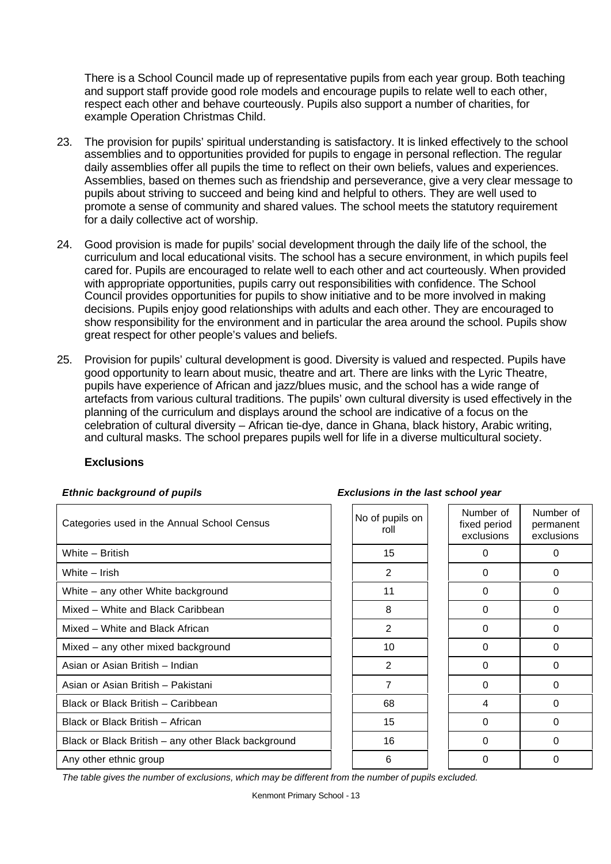There is a School Council made up of representative pupils from each year group. Both teaching and support staff provide good role models and encourage pupils to relate well to each other, respect each other and behave courteously. Pupils also support a number of charities, for example Operation Christmas Child.

- 23. The provision for pupils' spiritual understanding is satisfactory. It is linked effectively to the school assemblies and to opportunities provided for pupils to engage in personal reflection. The regular daily assemblies offer all pupils the time to reflect on their own beliefs, values and experiences. Assemblies, based on themes such as friendship and perseverance, give a very clear message to pupils about striving to succeed and being kind and helpful to others. They are well used to promote a sense of community and shared values. The school meets the statutory requirement for a daily collective act of worship.
- 24. Good provision is made for pupils' social development through the daily life of the school, the curriculum and local educational visits. The school has a secure environment, in which pupils feel cared for. Pupils are encouraged to relate well to each other and act courteously. When provided with appropriate opportunities, pupils carry out responsibilities with confidence. The School Council provides opportunities for pupils to show initiative and to be more involved in making decisions. Pupils enjoy good relationships with adults and each other. They are encouraged to show responsibility for the environment and in particular the area around the school. Pupils show great respect for other people's values and beliefs.
- 25. Provision for pupils' cultural development is good. Diversity is valued and respected. Pupils have good opportunity to learn about music, theatre and art. There are links with the Lyric Theatre, pupils have experience of African and jazz/blues music, and the school has a wide range of artefacts from various cultural traditions. The pupils' own cultural diversity is used effectively in the planning of the curriculum and displays around the school are indicative of a focus on the celebration of cultural diversity – African tie-dye, dance in Ghana, black history, Arabic writing, and cultural masks. The school prepares pupils well for life in a diverse multicultural society.

#### **Exclusions**

| Categories used in the Annual School Census         | No of pupils on<br>roll | Number of<br>fixed period<br>exclusions | Number of<br>permanent<br>exclusions |
|-----------------------------------------------------|-------------------------|-----------------------------------------|--------------------------------------|
| White - British                                     | 15                      | $\Omega$                                | 0                                    |
| White - Irish                                       | 2                       | $\Omega$                                | 0                                    |
| White – any other White background                  | 11                      | 0                                       | 0                                    |
| Mixed – White and Black Caribbean                   | 8                       | $\Omega$                                | 0                                    |
| Mixed - White and Black African                     | 2                       | $\Omega$                                | $\Omega$                             |
| Mixed - any other mixed background                  | 10                      | 0                                       | 0                                    |
| Asian or Asian British - Indian                     | 2                       | $\Omega$                                | 0                                    |
| Asian or Asian British - Pakistani                  | $\overline{7}$          | $\Omega$                                | 0                                    |
| Black or Black British - Caribbean                  | 68                      | 4                                       | 0                                    |
| Black or Black British - African                    | 15                      | $\Omega$                                | 0                                    |
| Black or Black British - any other Black background | 16                      | $\Omega$                                | 0                                    |
| Any other ethnic group                              | 6                       | $\Omega$                                | 0                                    |

#### *Ethnic background of pupils Exclusions in the last school year*

*The table gives the number of exclusions, which may be different from the number of pupils excluded.*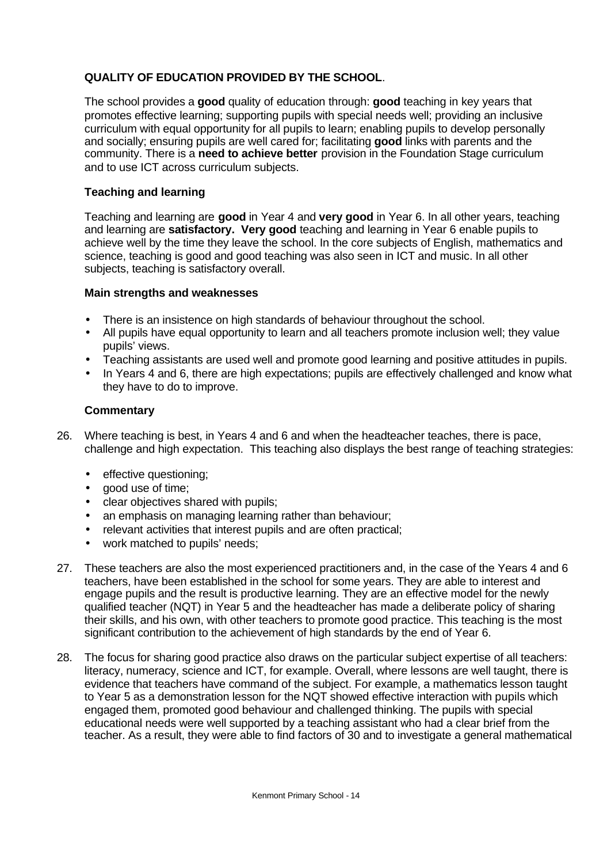# **QUALITY OF EDUCATION PROVIDED BY THE SCHOOL**.

The school provides a **good** quality of education through: **good** teaching in key years that promotes effective learning; supporting pupils with special needs well; providing an inclusive curriculum with equal opportunity for all pupils to learn; enabling pupils to develop personally and socially; ensuring pupils are well cared for; facilitating **good** links with parents and the community. There is a **need to achieve better** provision in the Foundation Stage curriculum and to use ICT across curriculum subjects.

# **Teaching and learning**

Teaching and learning are **good** in Year 4 and **very good** in Year 6. In all other years, teaching and learning are **satisfactory. Very good** teaching and learning in Year 6 enable pupils to achieve well by the time they leave the school. In the core subjects of English, mathematics and science, teaching is good and good teaching was also seen in ICT and music. In all other subjects, teaching is satisfactory overall.

#### **Main strengths and weaknesses**

- There is an insistence on high standards of behaviour throughout the school.
- All pupils have equal opportunity to learn and all teachers promote inclusion well; they value pupils' views.
- Teaching assistants are used well and promote good learning and positive attitudes in pupils.
- In Years 4 and 6, there are high expectations; pupils are effectively challenged and know what they have to do to improve.

- 26. Where teaching is best, in Years 4 and 6 and when the headteacher teaches, there is pace, challenge and high expectation. This teaching also displays the best range of teaching strategies:
	- effective questioning;
	- good use of time;
	- clear objectives shared with pupils;
	- an emphasis on managing learning rather than behaviour;
	- relevant activities that interest pupils and are often practical;
	- work matched to pupils' needs;
- 27. These teachers are also the most experienced practitioners and, in the case of the Years 4 and 6 teachers, have been established in the school for some years. They are able to interest and engage pupils and the result is productive learning. They are an effective model for the newly qualified teacher (NQT) in Year 5 and the headteacher has made a deliberate policy of sharing their skills, and his own, with other teachers to promote good practice. This teaching is the most significant contribution to the achievement of high standards by the end of Year 6.
- 28. The focus for sharing good practice also draws on the particular subject expertise of all teachers: literacy, numeracy, science and ICT, for example. Overall, where lessons are well taught, there is evidence that teachers have command of the subject. For example, a mathematics lesson taught to Year 5 as a demonstration lesson for the NQT showed effective interaction with pupils which engaged them, promoted good behaviour and challenged thinking. The pupils with special educational needs were well supported by a teaching assistant who had a clear brief from the teacher. As a result, they were able to find factors of 30 and to investigate a general mathematical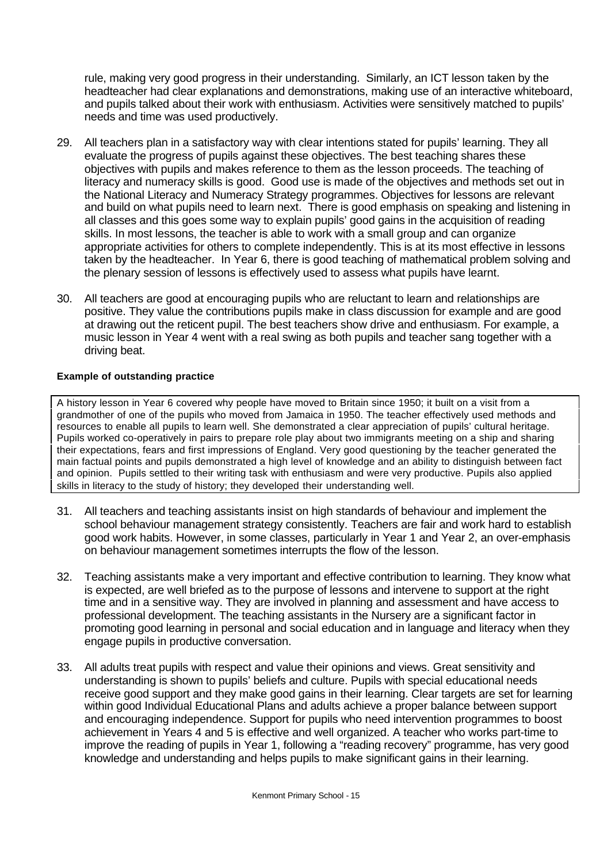rule, making very good progress in their understanding. Similarly, an ICT lesson taken by the headteacher had clear explanations and demonstrations, making use of an interactive whiteboard, and pupils talked about their work with enthusiasm. Activities were sensitively matched to pupils' needs and time was used productively.

- 29. All teachers plan in a satisfactory way with clear intentions stated for pupils' learning. They all evaluate the progress of pupils against these objectives. The best teaching shares these objectives with pupils and makes reference to them as the lesson proceeds. The teaching of literacy and numeracy skills is good. Good use is made of the objectives and methods set out in the National Literacy and Numeracy Strategy programmes. Objectives for lessons are relevant and build on what pupils need to learn next. There is good emphasis on speaking and listening in all classes and this goes some way to explain pupils' good gains in the acquisition of reading skills. In most lessons, the teacher is able to work with a small group and can organize appropriate activities for others to complete independently. This is at its most effective in lessons taken by the headteacher. In Year 6, there is good teaching of mathematical problem solving and the plenary session of lessons is effectively used to assess what pupils have learnt.
- 30. All teachers are good at encouraging pupils who are reluctant to learn and relationships are positive. They value the contributions pupils make in class discussion for example and are good at drawing out the reticent pupil. The best teachers show drive and enthusiasm. For example, a music lesson in Year 4 went with a real swing as both pupils and teacher sang together with a driving beat.

#### **Example of outstanding practice**

A history lesson in Year 6 covered why people have moved to Britain since 1950; it built on a visit from a grandmother of one of the pupils who moved from Jamaica in 1950. The teacher effectively used methods and resources to enable all pupils to learn well. She demonstrated a clear appreciation of pupils' cultural heritage. Pupils worked co-operatively in pairs to prepare role play about two immigrants meeting on a ship and sharing their expectations, fears and first impressions of England. Very good questioning by the teacher generated the main factual points and pupils demonstrated a high level of knowledge and an ability to distinguish between fact and opinion. Pupils settled to their writing task with enthusiasm and were very productive. Pupils also applied skills in literacy to the study of history; they developed their understanding well.

- 31. All teachers and teaching assistants insist on high standards of behaviour and implement the school behaviour management strategy consistently. Teachers are fair and work hard to establish good work habits. However, in some classes, particularly in Year 1 and Year 2, an over-emphasis on behaviour management sometimes interrupts the flow of the lesson.
- 32. Teaching assistants make a very important and effective contribution to learning. They know what is expected, are well briefed as to the purpose of lessons and intervene to support at the right time and in a sensitive way. They are involved in planning and assessment and have access to professional development. The teaching assistants in the Nursery are a significant factor in promoting good learning in personal and social education and in language and literacy when they engage pupils in productive conversation.
- 33. All adults treat pupils with respect and value their opinions and views. Great sensitivity and understanding is shown to pupils' beliefs and culture. Pupils with special educational needs receive good support and they make good gains in their learning. Clear targets are set for learning within good Individual Educational Plans and adults achieve a proper balance between support and encouraging independence. Support for pupils who need intervention programmes to boost achievement in Years 4 and 5 is effective and well organized. A teacher who works part-time to improve the reading of pupils in Year 1, following a "reading recovery" programme, has very good knowledge and understanding and helps pupils to make significant gains in their learning.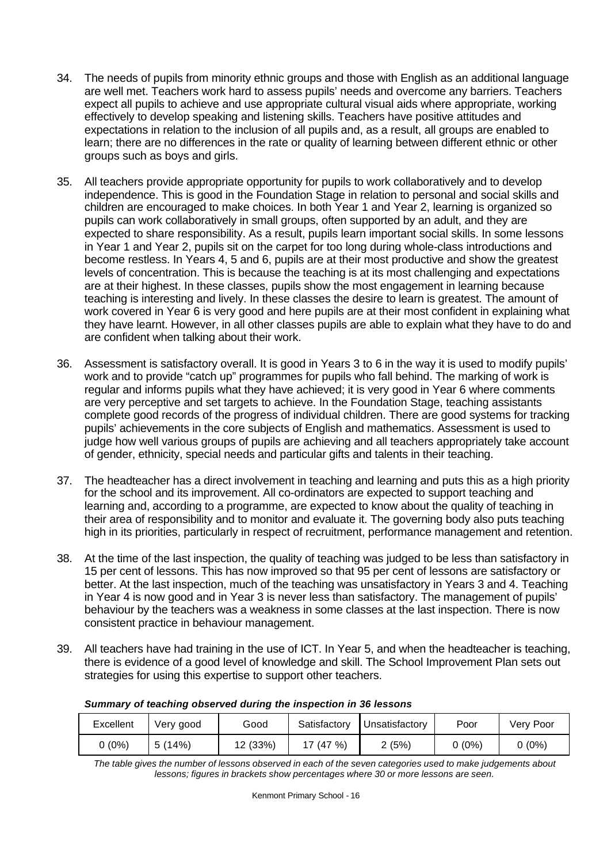- 34. The needs of pupils from minority ethnic groups and those with English as an additional language are well met. Teachers work hard to assess pupils' needs and overcome any barriers. Teachers expect all pupils to achieve and use appropriate cultural visual aids where appropriate, working effectively to develop speaking and listening skills. Teachers have positive attitudes and expectations in relation to the inclusion of all pupils and, as a result, all groups are enabled to learn; there are no differences in the rate or quality of learning between different ethnic or other groups such as boys and girls.
- 35. All teachers provide appropriate opportunity for pupils to work collaboratively and to develop independence. This is good in the Foundation Stage in relation to personal and social skills and children are encouraged to make choices. In both Year 1 and Year 2, learning is organized so pupils can work collaboratively in small groups, often supported by an adult, and they are expected to share responsibility. As a result, pupils learn important social skills. In some lessons in Year 1 and Year 2, pupils sit on the carpet for too long during whole-class introductions and become restless. In Years 4, 5 and 6, pupils are at their most productive and show the greatest levels of concentration. This is because the teaching is at its most challenging and expectations are at their highest. In these classes, pupils show the most engagement in learning because teaching is interesting and lively. In these classes the desire to learn is greatest. The amount of work covered in Year 6 is very good and here pupils are at their most confident in explaining what they have learnt. However, in all other classes pupils are able to explain what they have to do and are confident when talking about their work.
- 36. Assessment is satisfactory overall. It is good in Years 3 to 6 in the way it is used to modify pupils' work and to provide "catch up" programmes for pupils who fall behind. The marking of work is regular and informs pupils what they have achieved; it is very good in Year 6 where comments are very perceptive and set targets to achieve. In the Foundation Stage, teaching assistants complete good records of the progress of individual children. There are good systems for tracking pupils' achievements in the core subjects of English and mathematics. Assessment is used to judge how well various groups of pupils are achieving and all teachers appropriately take account of gender, ethnicity, special needs and particular gifts and talents in their teaching.
- 37. The headteacher has a direct involvement in teaching and learning and puts this as a high priority for the school and its improvement. All co-ordinators are expected to support teaching and learning and, according to a programme, are expected to know about the quality of teaching in their area of responsibility and to monitor and evaluate it. The governing body also puts teaching high in its priorities, particularly in respect of recruitment, performance management and retention.
- 38. At the time of the last inspection, the quality of teaching was judged to be less than satisfactory in 15 per cent of lessons. This has now improved so that 95 per cent of lessons are satisfactory or better. At the last inspection, much of the teaching was unsatisfactory in Years 3 and 4. Teaching in Year 4 is now good and in Year 3 is never less than satisfactory. The management of pupils' behaviour by the teachers was a weakness in some classes at the last inspection. There is now consistent practice in behaviour management.
- 39. All teachers have had training in the use of ICT. In Year 5, and when the headteacher is teaching, there is evidence of a good level of knowledge and skill. The School Improvement Plan sets out strategies for using this expertise to support other teachers.

| Excellent | Very good | Good     | Satisfactory | Unsatisfactory | Poor     | Very Poor |
|-----------|-----------|----------|--------------|----------------|----------|-----------|
| ) (0%)    | 5(14%)    | 12 (33%) | '7 (47 %)    | (5%)           | $0(0\%)$ | $0(0\%)$  |

#### *Summary of teaching observed during the inspection in 36 lessons*

*The table gives the number of lessons observed in each of the seven categories used to make judgements about lessons; figures in brackets show percentages where 30 or more lessons are seen.*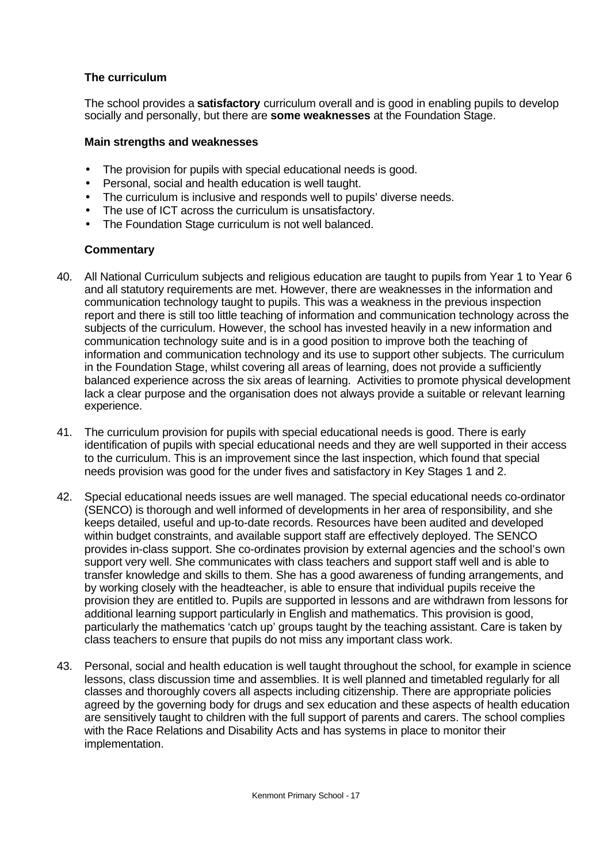# **The curriculum**

The school provides a **satisfactory** curriculum overall and is good in enabling pupils to develop socially and personally, but there are **some weaknesses** at the Foundation Stage.

#### **Main strengths and weaknesses**

- The provision for pupils with special educational needs is good.
- Personal, social and health education is well taught.
- The curriculum is inclusive and responds well to pupils' diverse needs.
- The use of ICT across the curriculum is unsatisfactory.
- The Foundation Stage curriculum is not well balanced.

- 40. All National Curriculum subjects and religious education are taught to pupils from Year 1 to Year 6 and all statutory requirements are met. However, there are weaknesses in the information and communication technology taught to pupils. This was a weakness in the previous inspection report and there is still too little teaching of information and communication technology across the subjects of the curriculum. However, the school has invested heavily in a new information and communication technology suite and is in a good position to improve both the teaching of information and communication technology and its use to support other subjects. The curriculum in the Foundation Stage, whilst covering all areas of learning, does not provide a sufficiently balanced experience across the six areas of learning. Activities to promote physical development lack a clear purpose and the organisation does not always provide a suitable or relevant learning experience.
- 41. The curriculum provision for pupils with special educational needs is good. There is early identification of pupils with special educational needs and they are well supported in their access to the curriculum. This is an improvement since the last inspection, which found that special needs provision was good for the under fives and satisfactory in Key Stages 1 and 2.
- 42. Special educational needs issues are well managed. The special educational needs co-ordinator (SENCO) is thorough and well informed of developments in her area of responsibility, and she keeps detailed, useful and up-to-date records. Resources have been audited and developed within budget constraints, and available support staff are effectively deployed. The SENCO provides in-class support. She co-ordinates provision by external agencies and the school's own support very well. She communicates with class teachers and support staff well and is able to transfer knowledge and skills to them. She has a good awareness of funding arrangements, and by working closely with the headteacher, is able to ensure that individual pupils receive the provision they are entitled to. Pupils are supported in lessons and are withdrawn from lessons for additional learning support particularly in English and mathematics. This provision is good, particularly the mathematics 'catch up' groups taught by the teaching assistant. Care is taken by class teachers to ensure that pupils do not miss any important class work.
- 43. Personal, social and health education is well taught throughout the school, for example in science lessons, class discussion time and assemblies. It is well planned and timetabled regularly for all classes and thoroughly covers all aspects including citizenship. There are appropriate policies agreed by the governing body for drugs and sex education and these aspects of health education are sensitively taught to children with the full support of parents and carers. The school complies with the Race Relations and Disability Acts and has systems in place to monitor their implementation.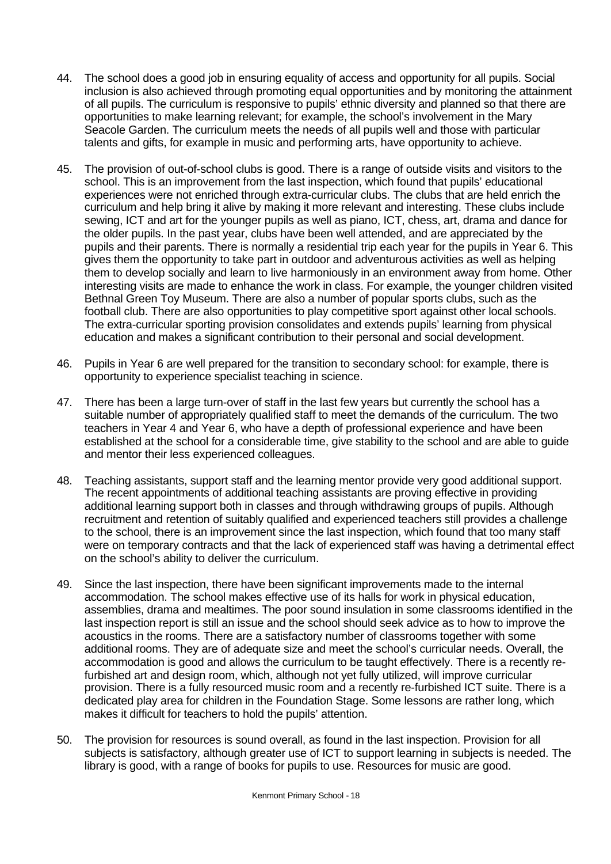- 44. The school does a good job in ensuring equality of access and opportunity for all pupils. Social inclusion is also achieved through promoting equal opportunities and by monitoring the attainment of all pupils. The curriculum is responsive to pupils' ethnic diversity and planned so that there are opportunities to make learning relevant; for example, the school's involvement in the Mary Seacole Garden. The curriculum meets the needs of all pupils well and those with particular talents and gifts, for example in music and performing arts, have opportunity to achieve.
- 45. The provision of out-of-school clubs is good. There is a range of outside visits and visitors to the school. This is an improvement from the last inspection, which found that pupils' educational experiences were not enriched through extra-curricular clubs. The clubs that are held enrich the curriculum and help bring it alive by making it more relevant and interesting. These clubs include sewing, ICT and art for the younger pupils as well as piano, ICT, chess, art, drama and dance for the older pupils. In the past year, clubs have been well attended, and are appreciated by the pupils and their parents. There is normally a residential trip each year for the pupils in Year 6. This gives them the opportunity to take part in outdoor and adventurous activities as well as helping them to develop socially and learn to live harmoniously in an environment away from home. Other interesting visits are made to enhance the work in class. For example, the younger children visited Bethnal Green Toy Museum. There are also a number of popular sports clubs, such as the football club. There are also opportunities to play competitive sport against other local schools. The extra-curricular sporting provision consolidates and extends pupils' learning from physical education and makes a significant contribution to their personal and social development.
- 46. Pupils in Year 6 are well prepared for the transition to secondary school: for example, there is opportunity to experience specialist teaching in science.
- 47. There has been a large turn-over of staff in the last few years but currently the school has a suitable number of appropriately qualified staff to meet the demands of the curriculum. The two teachers in Year 4 and Year 6, who have a depth of professional experience and have been established at the school for a considerable time, give stability to the school and are able to guide and mentor their less experienced colleagues.
- 48. Teaching assistants, support staff and the learning mentor provide very good additional support. The recent appointments of additional teaching assistants are proving effective in providing additional learning support both in classes and through withdrawing groups of pupils. Although recruitment and retention of suitably qualified and experienced teachers still provides a challenge to the school, there is an improvement since the last inspection, which found that too many staff were on temporary contracts and that the lack of experienced staff was having a detrimental effect on the school's ability to deliver the curriculum.
- 49. Since the last inspection, there have been significant improvements made to the internal accommodation. The school makes effective use of its halls for work in physical education, assemblies, drama and mealtimes. The poor sound insulation in some classrooms identified in the last inspection report is still an issue and the school should seek advice as to how to improve the acoustics in the rooms. There are a satisfactory number of classrooms together with some additional rooms. They are of adequate size and meet the school's curricular needs. Overall, the accommodation is good and allows the curriculum to be taught effectively. There is a recently refurbished art and design room, which, although not yet fully utilized, will improve curricular provision. There is a fully resourced music room and a recently re-furbished ICT suite. There is a dedicated play area for children in the Foundation Stage. Some lessons are rather long, which makes it difficult for teachers to hold the pupils' attention.
- 50. The provision for resources is sound overall, as found in the last inspection. Provision for all subjects is satisfactory, although greater use of ICT to support learning in subjects is needed. The library is good, with a range of books for pupils to use. Resources for music are good.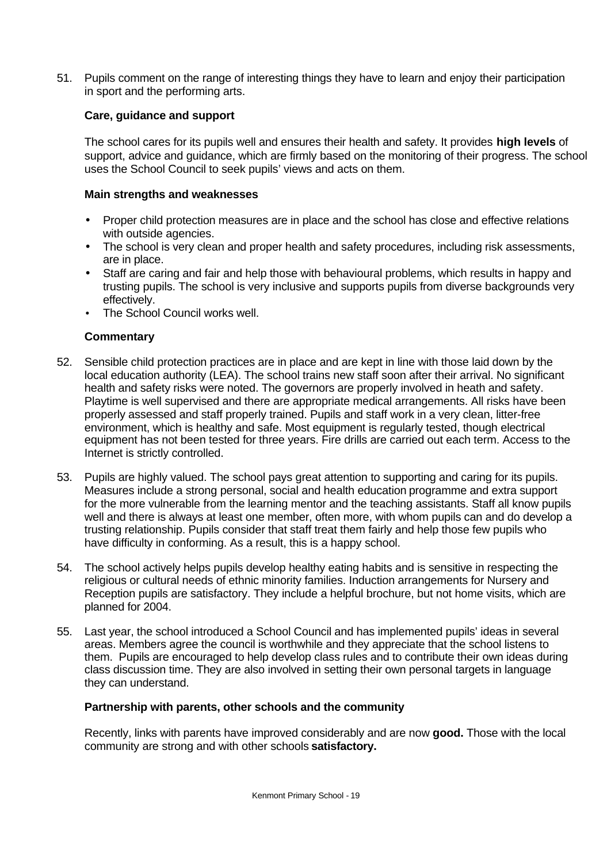51. Pupils comment on the range of interesting things they have to learn and enjoy their participation in sport and the performing arts.

# **Care, guidance and support**

The school cares for its pupils well and ensures their health and safety. It provides **high levels** of support, advice and guidance, which are firmly based on the monitoring of their progress. The school uses the School Council to seek pupils' views and acts on them.

### **Main strengths and weaknesses**

- Proper child protection measures are in place and the school has close and effective relations with outside agencies.
- The school is very clean and proper health and safety procedures, including risk assessments, are in place.
- Staff are caring and fair and help those with behavioural problems, which results in happy and trusting pupils. The school is very inclusive and supports pupils from diverse backgrounds very effectively.
- The School Council works well.

# **Commentary**

- 52. Sensible child protection practices are in place and are kept in line with those laid down by the local education authority (LEA). The school trains new staff soon after their arrival. No significant health and safety risks were noted. The governors are properly involved in heath and safety. Playtime is well supervised and there are appropriate medical arrangements. All risks have been properly assessed and staff properly trained. Pupils and staff work in a very clean, litter-free environment, which is healthy and safe. Most equipment is regularly tested, though electrical equipment has not been tested for three years. Fire drills are carried out each term. Access to the Internet is strictly controlled.
- 53. Pupils are highly valued. The school pays great attention to supporting and caring for its pupils. Measures include a strong personal, social and health education programme and extra support for the more vulnerable from the learning mentor and the teaching assistants. Staff all know pupils well and there is always at least one member, often more, with whom pupils can and do develop a trusting relationship. Pupils consider that staff treat them fairly and help those few pupils who have difficulty in conforming. As a result, this is a happy school.
- 54. The school actively helps pupils develop healthy eating habits and is sensitive in respecting the religious or cultural needs of ethnic minority families. Induction arrangements for Nursery and Reception pupils are satisfactory. They include a helpful brochure, but not home visits, which are planned for 2004.
- 55. Last year, the school introduced a School Council and has implemented pupils' ideas in several areas. Members agree the council is worthwhile and they appreciate that the school listens to them. Pupils are encouraged to help develop class rules and to contribute their own ideas during class discussion time. They are also involved in setting their own personal targets in language they can understand.

#### **Partnership with parents, other schools and the community**

Recently, links with parents have improved considerably and are now **good.** Those with the local community are strong and with other schools **satisfactory.**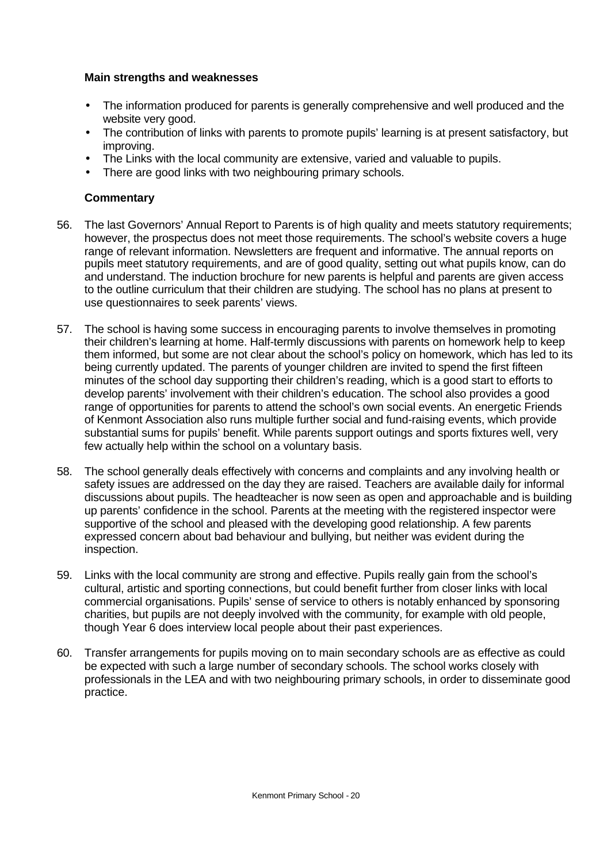#### **Main strengths and weaknesses**

- The information produced for parents is generally comprehensive and well produced and the website very good.
- The contribution of links with parents to promote pupils' learning is at present satisfactory, but improving.
- The Links with the local community are extensive, varied and valuable to pupils.
- There are good links with two neighbouring primary schools.

- 56. The last Governors' Annual Report to Parents is of high quality and meets statutory requirements; however, the prospectus does not meet those requirements. The school's website covers a huge range of relevant information. Newsletters are frequent and informative. The annual reports on pupils meet statutory requirements, and are of good quality, setting out what pupils know, can do and understand. The induction brochure for new parents is helpful and parents are given access to the outline curriculum that their children are studying. The school has no plans at present to use questionnaires to seek parents' views.
- 57. The school is having some success in encouraging parents to involve themselves in promoting their children's learning at home. Half-termly discussions with parents on homework help to keep them informed, but some are not clear about the school's policy on homework, which has led to its being currently updated. The parents of younger children are invited to spend the first fifteen minutes of the school day supporting their children's reading, which is a good start to efforts to develop parents' involvement with their children's education. The school also provides a good range of opportunities for parents to attend the school's own social events. An energetic Friends of Kenmont Association also runs multiple further social and fund-raising events, which provide substantial sums for pupils' benefit. While parents support outings and sports fixtures well, very few actually help within the school on a voluntary basis.
- 58. The school generally deals effectively with concerns and complaints and any involving health or safety issues are addressed on the day they are raised. Teachers are available daily for informal discussions about pupils. The headteacher is now seen as open and approachable and is building up parents' confidence in the school. Parents at the meeting with the registered inspector were supportive of the school and pleased with the developing good relationship. A few parents expressed concern about bad behaviour and bullying, but neither was evident during the inspection.
- 59. Links with the local community are strong and effective. Pupils really gain from the school's cultural, artistic and sporting connections, but could benefit further from closer links with local commercial organisations. Pupils' sense of service to others is notably enhanced by sponsoring charities, but pupils are not deeply involved with the community, for example with old people, though Year 6 does interview local people about their past experiences.
- 60. Transfer arrangements for pupils moving on to main secondary schools are as effective as could be expected with such a large number of secondary schools. The school works closely with professionals in the LEA and with two neighbouring primary schools, in order to disseminate good practice.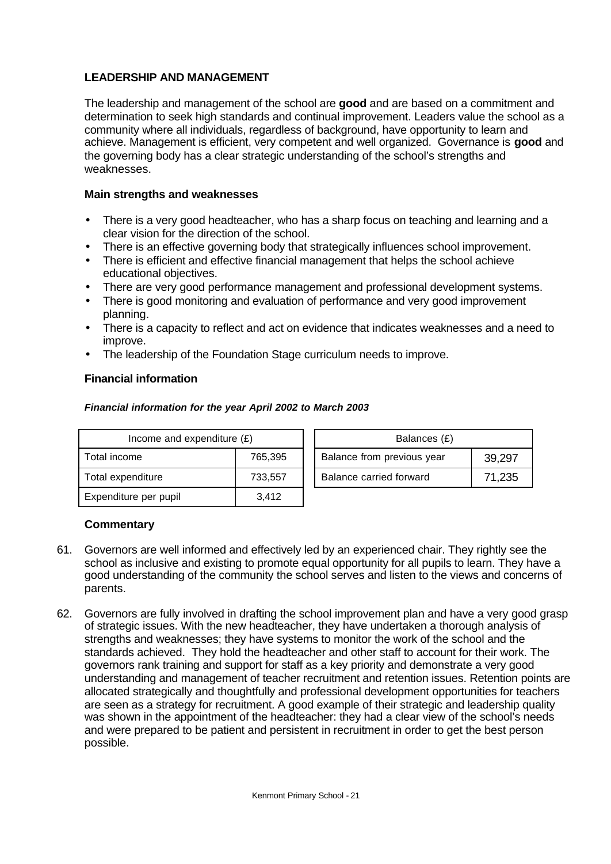# **LEADERSHIP AND MANAGEMENT**

The leadership and management of the school are **good** and are based on a commitment and determination to seek high standards and continual improvement. Leaders value the school as a community where all individuals, regardless of background, have opportunity to learn and achieve. Management is efficient, very competent and well organized. Governance is **good** and the governing body has a clear strategic understanding of the school's strengths and weaknesses.

# **Main strengths and weaknesses**

- There is a very good headteacher, who has a sharp focus on teaching and learning and a clear vision for the direction of the school.
- There is an effective governing body that strategically influences school improvement.
- There is efficient and effective financial management that helps the school achieve educational objectives.
- There are very good performance management and professional development systems.
- There is good monitoring and evaluation of performance and very good improvement planning.
- There is a capacity to reflect and act on evidence that indicates weaknesses and a need to improve.
- The leadership of the Foundation Stage curriculum needs to improve.

# **Financial information**

#### *Financial information for the year April 2002 to March 2003*

| Income and expenditure $(E)$ |         |                            | Balances (£)            |        |  |
|------------------------------|---------|----------------------------|-------------------------|--------|--|
| Total income                 | 765.395 | Balance from previous year |                         | 39,297 |  |
| Total expenditure            | 733,557 |                            | Balance carried forward | 71,235 |  |
| Expenditure per pupil        | 3,412   |                            |                         |        |  |

- 61. Governors are well informed and effectively led by an experienced chair. They rightly see the school as inclusive and existing to promote equal opportunity for all pupils to learn. They have a good understanding of the community the school serves and listen to the views and concerns of parents.
- 62. Governors are fully involved in drafting the school improvement plan and have a very good grasp of strategic issues. With the new headteacher, they have undertaken a thorough analysis of strengths and weaknesses; they have systems to monitor the work of the school and the standards achieved. They hold the headteacher and other staff to account for their work. The governors rank training and support for staff as a key priority and demonstrate a very good understanding and management of teacher recruitment and retention issues. Retention points are allocated strategically and thoughtfully and professional development opportunities for teachers are seen as a strategy for recruitment. A good example of their strategic and leadership quality was shown in the appointment of the headteacher: they had a clear view of the school's needs and were prepared to be patient and persistent in recruitment in order to get the best person possible.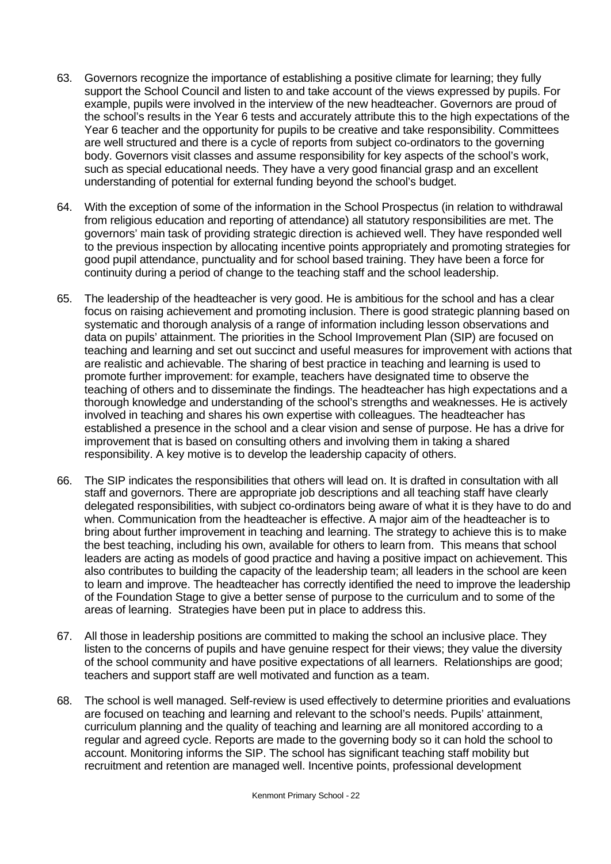- 63. Governors recognize the importance of establishing a positive climate for learning; they fully support the School Council and listen to and take account of the views expressed by pupils. For example, pupils were involved in the interview of the new headteacher. Governors are proud of the school's results in the Year 6 tests and accurately attribute this to the high expectations of the Year 6 teacher and the opportunity for pupils to be creative and take responsibility. Committees are well structured and there is a cycle of reports from subject co-ordinators to the governing body. Governors visit classes and assume responsibility for key aspects of the school's work, such as special educational needs. They have a very good financial grasp and an excellent understanding of potential for external funding beyond the school's budget.
- 64. With the exception of some of the information in the School Prospectus (in relation to withdrawal from religious education and reporting of attendance) all statutory responsibilities are met. The governors' main task of providing strategic direction is achieved well. They have responded well to the previous inspection by allocating incentive points appropriately and promoting strategies for good pupil attendance, punctuality and for school based training. They have been a force for continuity during a period of change to the teaching staff and the school leadership.
- 65. The leadership of the headteacher is very good. He is ambitious for the school and has a clear focus on raising achievement and promoting inclusion. There is good strategic planning based on systematic and thorough analysis of a range of information including lesson observations and data on pupils' attainment. The priorities in the School Improvement Plan (SIP) are focused on teaching and learning and set out succinct and useful measures for improvement with actions that are realistic and achievable. The sharing of best practice in teaching and learning is used to promote further improvement: for example, teachers have designated time to observe the teaching of others and to disseminate the findings. The headteacher has high expectations and a thorough knowledge and understanding of the school's strengths and weaknesses. He is actively involved in teaching and shares his own expertise with colleagues. The headteacher has established a presence in the school and a clear vision and sense of purpose. He has a drive for improvement that is based on consulting others and involving them in taking a shared responsibility. A key motive is to develop the leadership capacity of others.
- 66. The SIP indicates the responsibilities that others will lead on. It is drafted in consultation with all staff and governors. There are appropriate job descriptions and all teaching staff have clearly delegated responsibilities, with subject co-ordinators being aware of what it is they have to do and when. Communication from the headteacher is effective. A major aim of the headteacher is to bring about further improvement in teaching and learning. The strategy to achieve this is to make the best teaching, including his own, available for others to learn from. This means that school leaders are acting as models of good practice and having a positive impact on achievement. This also contributes to building the capacity of the leadership team; all leaders in the school are keen to learn and improve. The headteacher has correctly identified the need to improve the leadership of the Foundation Stage to give a better sense of purpose to the curriculum and to some of the areas of learning. Strategies have been put in place to address this.
- 67. All those in leadership positions are committed to making the school an inclusive place. They listen to the concerns of pupils and have genuine respect for their views; they value the diversity of the school community and have positive expectations of all learners. Relationships are good; teachers and support staff are well motivated and function as a team.
- 68. The school is well managed. Self-review is used effectively to determine priorities and evaluations are focused on teaching and learning and relevant to the school's needs. Pupils' attainment, curriculum planning and the quality of teaching and learning are all monitored according to a regular and agreed cycle. Reports are made to the governing body so it can hold the school to account. Monitoring informs the SIP. The school has significant teaching staff mobility but recruitment and retention are managed well. Incentive points, professional development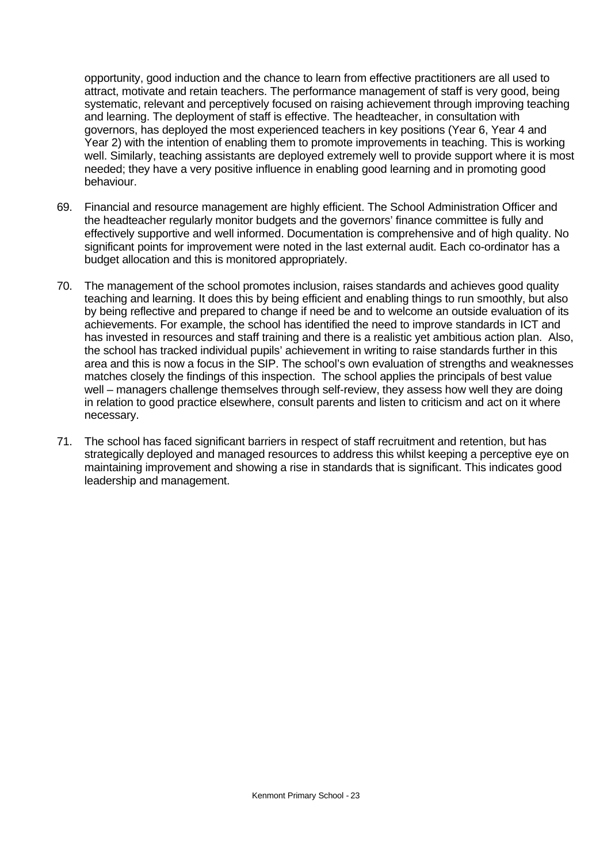opportunity, good induction and the chance to learn from effective practitioners are all used to attract, motivate and retain teachers. The performance management of staff is very good, being systematic, relevant and perceptively focused on raising achievement through improving teaching and learning. The deployment of staff is effective. The headteacher, in consultation with governors, has deployed the most experienced teachers in key positions (Year 6, Year 4 and Year 2) with the intention of enabling them to promote improvements in teaching. This is working well. Similarly, teaching assistants are deployed extremely well to provide support where it is most needed; they have a very positive influence in enabling good learning and in promoting good behaviour.

- 69. Financial and resource management are highly efficient. The School Administration Officer and the headteacher regularly monitor budgets and the governors' finance committee is fully and effectively supportive and well informed. Documentation is comprehensive and of high quality. No significant points for improvement were noted in the last external audit. Each co-ordinator has a budget allocation and this is monitored appropriately.
- 70. The management of the school promotes inclusion, raises standards and achieves good quality teaching and learning. It does this by being efficient and enabling things to run smoothly, but also by being reflective and prepared to change if need be and to welcome an outside evaluation of its achievements. For example, the school has identified the need to improve standards in ICT and has invested in resources and staff training and there is a realistic yet ambitious action plan. Also, the school has tracked individual pupils' achievement in writing to raise standards further in this area and this is now a focus in the SIP. The school's own evaluation of strengths and weaknesses matches closely the findings of this inspection. The school applies the principals of best value well – managers challenge themselves through self-review, they assess how well they are doing in relation to good practice elsewhere, consult parents and listen to criticism and act on it where necessary.
- 71. The school has faced significant barriers in respect of staff recruitment and retention, but has strategically deployed and managed resources to address this whilst keeping a perceptive eye on maintaining improvement and showing a rise in standards that is significant. This indicates good leadership and management.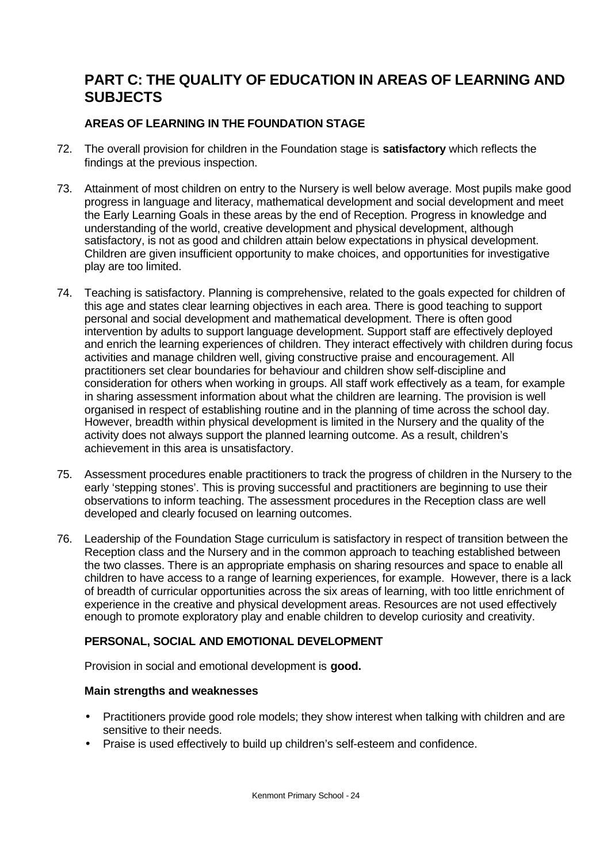# **PART C: THE QUALITY OF EDUCATION IN AREAS OF LEARNING AND SUBJECTS**

# **AREAS OF LEARNING IN THE FOUNDATION STAGE**

- 72. The overall provision for children in the Foundation stage is **satisfactory** which reflects the findings at the previous inspection.
- 73. Attainment of most children on entry to the Nursery is well below average. Most pupils make good progress in language and literacy, mathematical development and social development and meet the Early Learning Goals in these areas by the end of Reception. Progress in knowledge and understanding of the world, creative development and physical development, although satisfactory, is not as good and children attain below expectations in physical development. Children are given insufficient opportunity to make choices, and opportunities for investigative play are too limited.
- 74. Teaching is satisfactory. Planning is comprehensive, related to the goals expected for children of this age and states clear learning objectives in each area. There is good teaching to support personal and social development and mathematical development. There is often good intervention by adults to support language development. Support staff are effectively deployed and enrich the learning experiences of children. They interact effectively with children during focus activities and manage children well, giving constructive praise and encouragement. All practitioners set clear boundaries for behaviour and children show self-discipline and consideration for others when working in groups. All staff work effectively as a team, for example in sharing assessment information about what the children are learning. The provision is well organised in respect of establishing routine and in the planning of time across the school day. However, breadth within physical development is limited in the Nursery and the quality of the activity does not always support the planned learning outcome. As a result, children's achievement in this area is unsatisfactory.
- 75. Assessment procedures enable practitioners to track the progress of children in the Nursery to the early 'stepping stones'. This is proving successful and practitioners are beginning to use their observations to inform teaching. The assessment procedures in the Reception class are well developed and clearly focused on learning outcomes.
- 76. Leadership of the Foundation Stage curriculum is satisfactory in respect of transition between the Reception class and the Nursery and in the common approach to teaching established between the two classes. There is an appropriate emphasis on sharing resources and space to enable all children to have access to a range of learning experiences, for example. However, there is a lack of breadth of curricular opportunities across the six areas of learning, with too little enrichment of experience in the creative and physical development areas. Resources are not used effectively enough to promote exploratory play and enable children to develop curiosity and creativity.

# **PERSONAL, SOCIAL AND EMOTIONAL DEVELOPMENT**

Provision in social and emotional development is **good.**

# **Main strengths and weaknesses**

- Practitioners provide good role models; they show interest when talking with children and are sensitive to their needs.
- Praise is used effectively to build up children's self-esteem and confidence.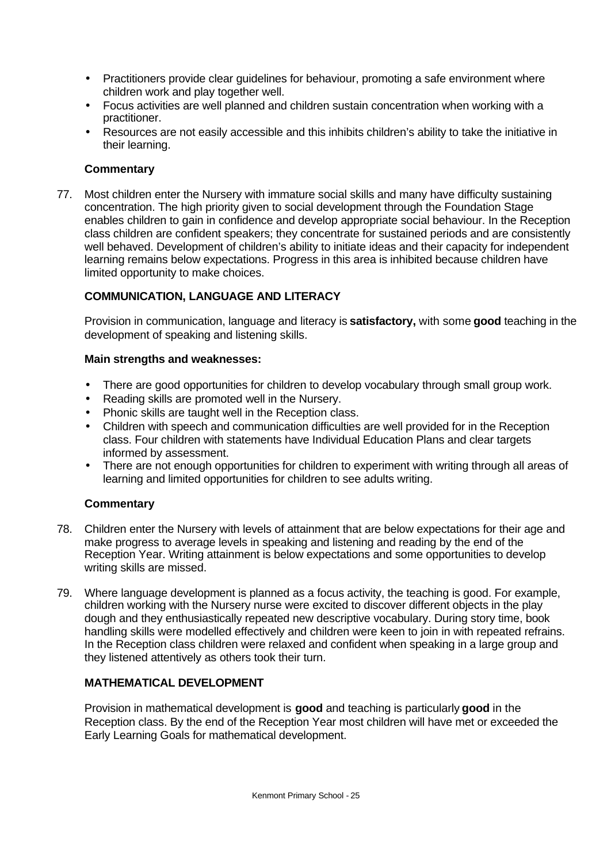- Practitioners provide clear guidelines for behaviour, promoting a safe environment where children work and play together well.
- Focus activities are well planned and children sustain concentration when working with a practitioner.
- Resources are not easily accessible and this inhibits children's ability to take the initiative in their learning.

# **Commentary**

77. Most children enter the Nursery with immature social skills and many have difficulty sustaining concentration. The high priority given to social development through the Foundation Stage enables children to gain in confidence and develop appropriate social behaviour. In the Reception class children are confident speakers; they concentrate for sustained periods and are consistently well behaved. Development of children's ability to initiate ideas and their capacity for independent learning remains below expectations. Progress in this area is inhibited because children have limited opportunity to make choices.

# **COMMUNICATION, LANGUAGE AND LITERACY**

Provision in communication, language and literacy is **satisfactory,** with some **good** teaching in the development of speaking and listening skills.

#### **Main strengths and weaknesses:**

- There are good opportunities for children to develop vocabulary through small group work.
- Reading skills are promoted well in the Nursery.
- Phonic skills are taught well in the Reception class.
- Children with speech and communication difficulties are well provided for in the Reception class. Four children with statements have Individual Education Plans and clear targets informed by assessment.
- There are not enough opportunities for children to experiment with writing through all areas of learning and limited opportunities for children to see adults writing.

#### **Commentary**

- 78. Children enter the Nursery with levels of attainment that are below expectations for their age and make progress to average levels in speaking and listening and reading by the end of the Reception Year. Writing attainment is below expectations and some opportunities to develop writing skills are missed.
- 79. Where language development is planned as a focus activity, the teaching is good. For example, children working with the Nursery nurse were excited to discover different objects in the play dough and they enthusiastically repeated new descriptive vocabulary. During story time, book handling skills were modelled effectively and children were keen to join in with repeated refrains. In the Reception class children were relaxed and confident when speaking in a large group and they listened attentively as others took their turn.

# **MATHEMATICAL DEVELOPMENT**

Provision in mathematical development is **good** and teaching is particularly **good** in the Reception class. By the end of the Reception Year most children will have met or exceeded the Early Learning Goals for mathematical development.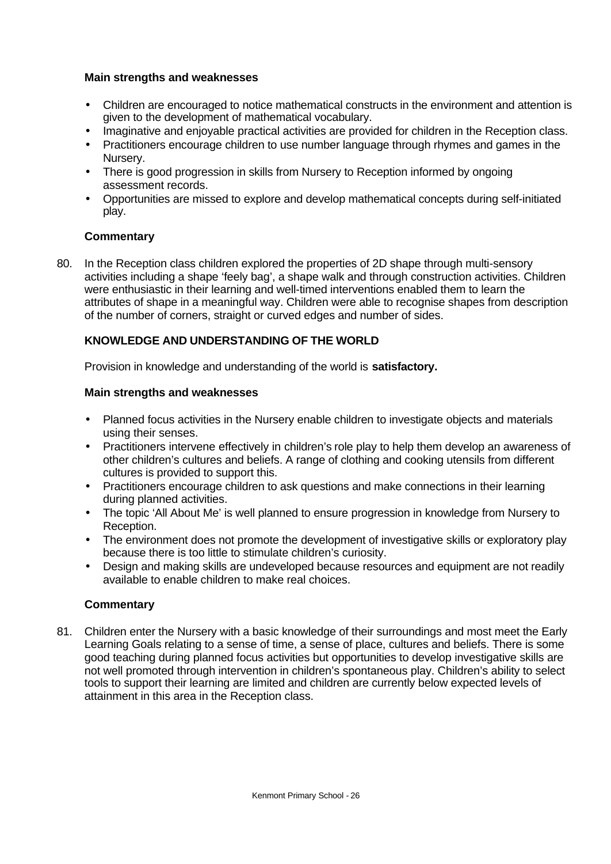#### **Main strengths and weaknesses**

- Children are encouraged to notice mathematical constructs in the environment and attention is given to the development of mathematical vocabulary.
- Imaginative and enjoyable practical activities are provided for children in the Reception class.
- Practitioners encourage children to use number language through rhymes and games in the Nursery.
- There is good progression in skills from Nursery to Reception informed by ongoing assessment records.
- Opportunities are missed to explore and develop mathematical concepts during self-initiated play.

#### **Commentary**

80. In the Reception class children explored the properties of 2D shape through multi-sensory activities including a shape 'feely bag', a shape walk and through construction activities. Children were enthusiastic in their learning and well-timed interventions enabled them to learn the attributes of shape in a meaningful way. Children were able to recognise shapes from description of the number of corners, straight or curved edges and number of sides.

#### **KNOWLEDGE AND UNDERSTANDING OF THE WORLD**

Provision in knowledge and understanding of the world is **satisfactory.**

#### **Main strengths and weaknesses**

- Planned focus activities in the Nursery enable children to investigate objects and materials using their senses.
- Practitioners intervene effectively in children's role play to help them develop an awareness of other children's cultures and beliefs. A range of clothing and cooking utensils from different cultures is provided to support this.
- Practitioners encourage children to ask questions and make connections in their learning during planned activities.
- The topic 'All About Me' is well planned to ensure progression in knowledge from Nursery to Reception.
- The environment does not promote the development of investigative skills or exploratory play because there is too little to stimulate children's curiosity.
- Design and making skills are undeveloped because resources and equipment are not readily available to enable children to make real choices.

#### **Commentary**

81. Children enter the Nursery with a basic knowledge of their surroundings and most meet the Early Learning Goals relating to a sense of time, a sense of place, cultures and beliefs. There is some good teaching during planned focus activities but opportunities to develop investigative skills are not well promoted through intervention in children's spontaneous play. Children's ability to select tools to support their learning are limited and children are currently below expected levels of attainment in this area in the Reception class.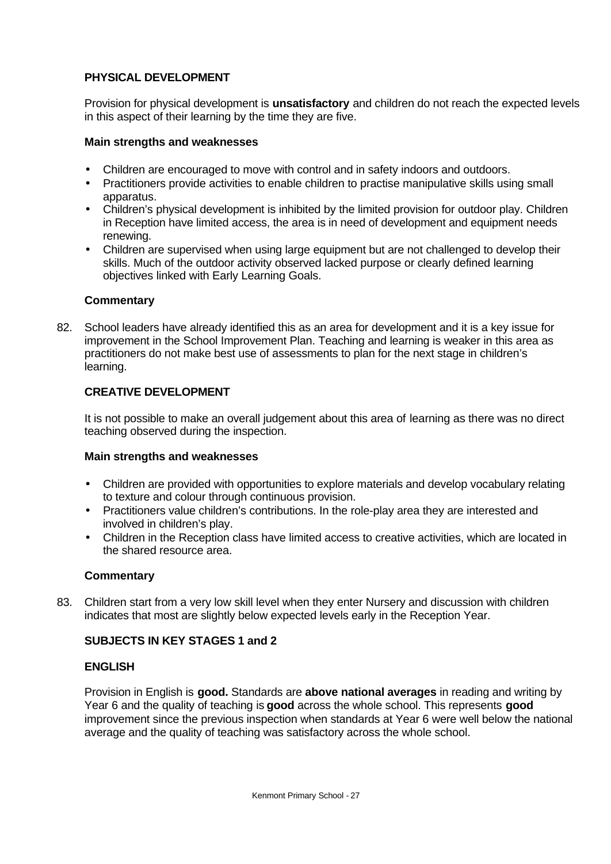# **PHYSICAL DEVELOPMENT**

Provision for physical development is **unsatisfactory** and children do not reach the expected levels in this aspect of their learning by the time they are five.

# **Main strengths and weaknesses**

- Children are encouraged to move with control and in safety indoors and outdoors.
- Practitioners provide activities to enable children to practise manipulative skills using small apparatus.
- Children's physical development is inhibited by the limited provision for outdoor play. Children in Reception have limited access, the area is in need of development and equipment needs renewing.
- Children are supervised when using large equipment but are not challenged to develop their skills. Much of the outdoor activity observed lacked purpose or clearly defined learning objectives linked with Early Learning Goals.

# **Commentary**

82. School leaders have already identified this as an area for development and it is a key issue for improvement in the School Improvement Plan. Teaching and learning is weaker in this area as practitioners do not make best use of assessments to plan for the next stage in children's learning.

# **CREATIVE DEVELOPMENT**

It is not possible to make an overall judgement about this area of learning as there was no direct teaching observed during the inspection.

#### **Main strengths and weaknesses**

- Children are provided with opportunities to explore materials and develop vocabulary relating to texture and colour through continuous provision.
- Practitioners value children's contributions. In the role-play area they are interested and involved in children's play.
- Children in the Reception class have limited access to creative activities, which are located in the shared resource area.

# **Commentary**

83. Children start from a very low skill level when they enter Nursery and discussion with children indicates that most are slightly below expected levels early in the Reception Year.

# **SUBJECTS IN KEY STAGES 1 and 2**

#### **ENGLISH**

Provision in English is **good.** Standards are **above national averages** in reading and writing by Year 6 and the quality of teaching is **good** across the whole school. This represents **good** improvement since the previous inspection when standards at Year 6 were well below the national average and the quality of teaching was satisfactory across the whole school.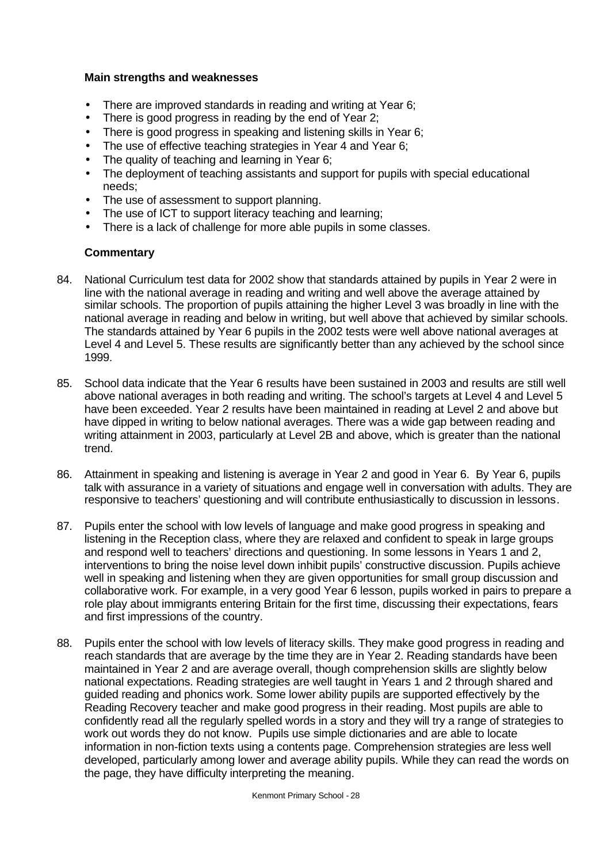#### **Main strengths and weaknesses**

- There are improved standards in reading and writing at Year 6;
- There is good progress in reading by the end of Year 2;
- There is good progress in speaking and listening skills in Year 6:
- The use of effective teaching strategies in Year 4 and Year 6;
- The quality of teaching and learning in Year 6;
- The deployment of teaching assistants and support for pupils with special educational needs;
- The use of assessment to support planning.
- The use of ICT to support literacy teaching and learning;
- There is a lack of challenge for more able pupils in some classes.

- 84. National Curriculum test data for 2002 show that standards attained by pupils in Year 2 were in line with the national average in reading and writing and well above the average attained by similar schools. The proportion of pupils attaining the higher Level 3 was broadly in line with the national average in reading and below in writing, but well above that achieved by similar schools. The standards attained by Year 6 pupils in the 2002 tests were well above national averages at Level 4 and Level 5. These results are significantly better than any achieved by the school since 1999.
- 85. School data indicate that the Year 6 results have been sustained in 2003 and results are still well above national averages in both reading and writing. The school's targets at Level 4 and Level 5 have been exceeded. Year 2 results have been maintained in reading at Level 2 and above but have dipped in writing to below national averages. There was a wide gap between reading and writing attainment in 2003, particularly at Level 2B and above, which is greater than the national trend.
- 86. Attainment in speaking and listening is average in Year 2 and good in Year 6. By Year 6, pupils talk with assurance in a variety of situations and engage well in conversation with adults. They are responsive to teachers' questioning and will contribute enthusiastically to discussion in lessons.
- 87. Pupils enter the school with low levels of language and make good progress in speaking and listening in the Reception class, where they are relaxed and confident to speak in large groups and respond well to teachers' directions and questioning. In some lessons in Years 1 and 2, interventions to bring the noise level down inhibit pupils' constructive discussion. Pupils achieve well in speaking and listening when they are given opportunities for small group discussion and collaborative work. For example, in a very good Year 6 lesson, pupils worked in pairs to prepare a role play about immigrants entering Britain for the first time, discussing their expectations, fears and first impressions of the country.
- 88. Pupils enter the school with low levels of literacy skills. They make good progress in reading and reach standards that are average by the time they are in Year 2. Reading standards have been maintained in Year 2 and are average overall, though comprehension skills are slightly below national expectations. Reading strategies are well taught in Years 1 and 2 through shared and guided reading and phonics work. Some lower ability pupils are supported effectively by the Reading Recovery teacher and make good progress in their reading. Most pupils are able to confidently read all the regularly spelled words in a story and they will try a range of strategies to work out words they do not know. Pupils use simple dictionaries and are able to locate information in non-fiction texts using a contents page. Comprehension strategies are less well developed, particularly among lower and average ability pupils. While they can read the words on the page, they have difficulty interpreting the meaning.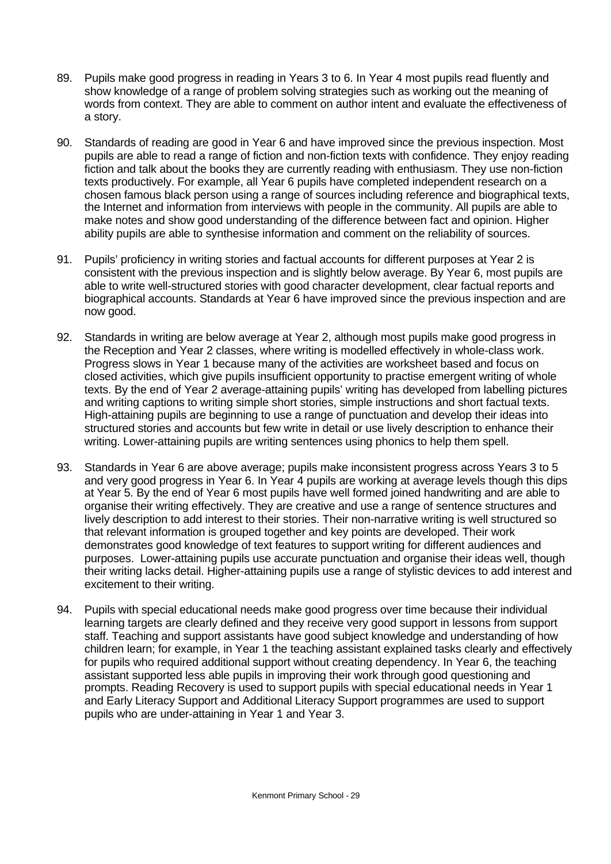- 89. Pupils make good progress in reading in Years 3 to 6. In Year 4 most pupils read fluently and show knowledge of a range of problem solving strategies such as working out the meaning of words from context. They are able to comment on author intent and evaluate the effectiveness of a story.
- 90. Standards of reading are good in Year 6 and have improved since the previous inspection. Most pupils are able to read a range of fiction and non-fiction texts with confidence. They enjoy reading fiction and talk about the books they are currently reading with enthusiasm. They use non-fiction texts productively. For example, all Year 6 pupils have completed independent research on a chosen famous black person using a range of sources including reference and biographical texts, the Internet and information from interviews with people in the community. All pupils are able to make notes and show good understanding of the difference between fact and opinion. Higher ability pupils are able to synthesise information and comment on the reliability of sources.
- 91. Pupils' proficiency in writing stories and factual accounts for different purposes at Year 2 is consistent with the previous inspection and is slightly below average. By Year 6, most pupils are able to write well-structured stories with good character development, clear factual reports and biographical accounts. Standards at Year 6 have improved since the previous inspection and are now good.
- 92. Standards in writing are below average at Year 2, although most pupils make good progress in the Reception and Year 2 classes, where writing is modelled effectively in whole-class work. Progress slows in Year 1 because many of the activities are worksheet based and focus on closed activities, which give pupils insufficient opportunity to practise emergent writing of whole texts. By the end of Year 2 average-attaining pupils' writing has developed from labelling pictures and writing captions to writing simple short stories, simple instructions and short factual texts. High-attaining pupils are beginning to use a range of punctuation and develop their ideas into structured stories and accounts but few write in detail or use lively description to enhance their writing. Lower-attaining pupils are writing sentences using phonics to help them spell.
- 93. Standards in Year 6 are above average; pupils make inconsistent progress across Years 3 to 5 and very good progress in Year 6. In Year 4 pupils are working at average levels though this dips at Year 5. By the end of Year 6 most pupils have well formed joined handwriting and are able to organise their writing effectively. They are creative and use a range of sentence structures and lively description to add interest to their stories. Their non-narrative writing is well structured so that relevant information is grouped together and key points are developed. Their work demonstrates good knowledge of text features to support writing for different audiences and purposes. Lower-attaining pupils use accurate punctuation and organise their ideas well, though their writing lacks detail. Higher-attaining pupils use a range of stylistic devices to add interest and excitement to their writing.
- 94. Pupils with special educational needs make good progress over time because their individual learning targets are clearly defined and they receive very good support in lessons from support staff. Teaching and support assistants have good subject knowledge and understanding of how children learn; for example, in Year 1 the teaching assistant explained tasks clearly and effectively for pupils who required additional support without creating dependency. In Year 6, the teaching assistant supported less able pupils in improving their work through good questioning and prompts. Reading Recovery is used to support pupils with special educational needs in Year 1 and Early Literacy Support and Additional Literacy Support programmes are used to support pupils who are under-attaining in Year 1 and Year 3.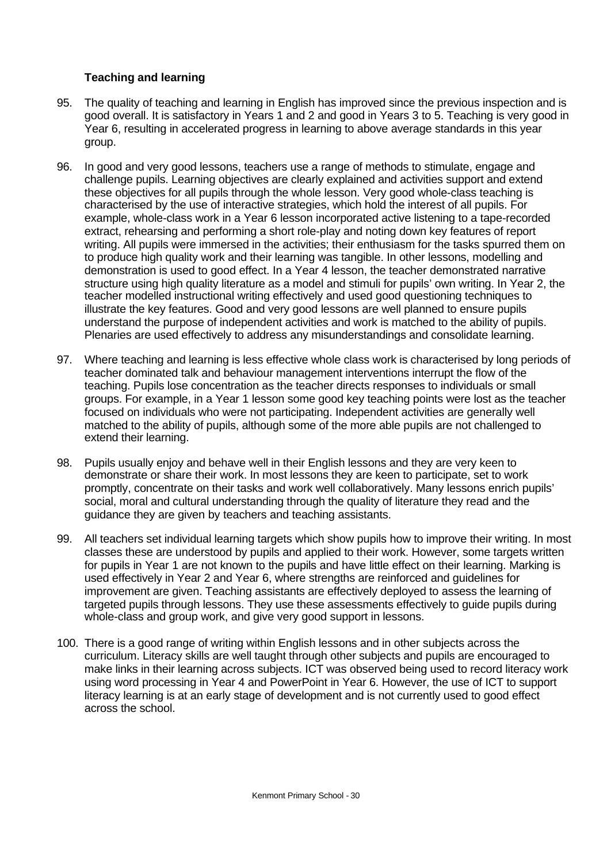# **Teaching and learning**

- 95. The quality of teaching and learning in English has improved since the previous inspection and is good overall. It is satisfactory in Years 1 and 2 and good in Years 3 to 5. Teaching is very good in Year 6, resulting in accelerated progress in learning to above average standards in this year group.
- 96. In good and very good lessons, teachers use a range of methods to stimulate, engage and challenge pupils. Learning objectives are clearly explained and activities support and extend these objectives for all pupils through the whole lesson. Very good whole-class teaching is characterised by the use of interactive strategies, which hold the interest of all pupils. For example, whole-class work in a Year 6 lesson incorporated active listening to a tape-recorded extract, rehearsing and performing a short role-play and noting down key features of report writing. All pupils were immersed in the activities; their enthusiasm for the tasks spurred them on to produce high quality work and their learning was tangible. In other lessons, modelling and demonstration is used to good effect. In a Year 4 lesson, the teacher demonstrated narrative structure using high quality literature as a model and stimuli for pupils' own writing. In Year 2, the teacher modelled instructional writing effectively and used good questioning techniques to illustrate the key features. Good and very good lessons are well planned to ensure pupils understand the purpose of independent activities and work is matched to the ability of pupils. Plenaries are used effectively to address any misunderstandings and consolidate learning.
- 97. Where teaching and learning is less effective whole class work is characterised by long periods of teacher dominated talk and behaviour management interventions interrupt the flow of the teaching. Pupils lose concentration as the teacher directs responses to individuals or small groups. For example, in a Year 1 lesson some good key teaching points were lost as the teacher focused on individuals who were not participating. Independent activities are generally well matched to the ability of pupils, although some of the more able pupils are not challenged to extend their learning.
- 98. Pupils usually enjoy and behave well in their English lessons and they are very keen to demonstrate or share their work. In most lessons they are keen to participate, set to work promptly, concentrate on their tasks and work well collaboratively. Many lessons enrich pupils' social, moral and cultural understanding through the quality of literature they read and the guidance they are given by teachers and teaching assistants.
- 99. All teachers set individual learning targets which show pupils how to improve their writing. In most classes these are understood by pupils and applied to their work. However, some targets written for pupils in Year 1 are not known to the pupils and have little effect on their learning. Marking is used effectively in Year 2 and Year 6, where strengths are reinforced and guidelines for improvement are given. Teaching assistants are effectively deployed to assess the learning of targeted pupils through lessons. They use these assessments effectively to guide pupils during whole-class and group work, and give very good support in lessons.
- 100. There is a good range of writing within English lessons and in other subjects across the curriculum. Literacy skills are well taught through other subjects and pupils are encouraged to make links in their learning across subjects. ICT was observed being used to record literacy work using word processing in Year 4 and PowerPoint in Year 6. However, the use of ICT to support literacy learning is at an early stage of development and is not currently used to good effect across the school.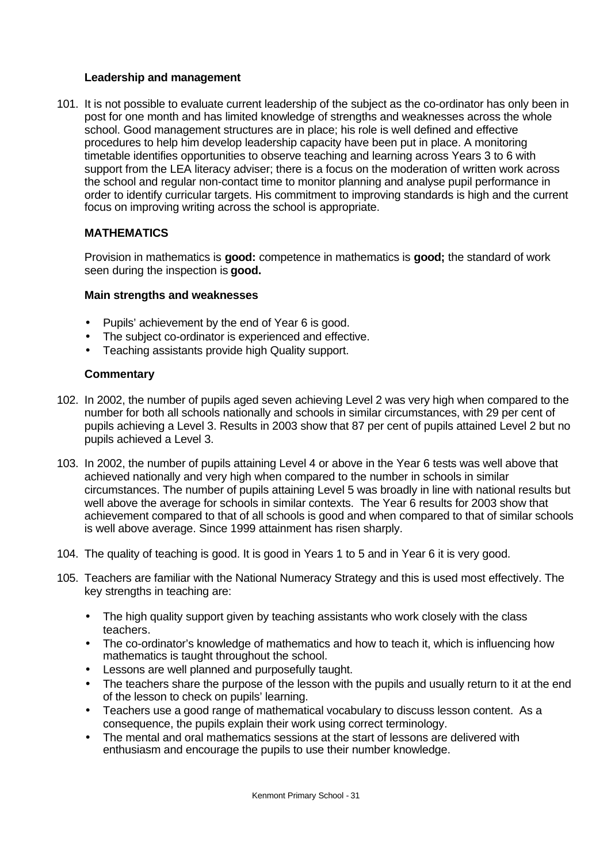#### **Leadership and management**

101. It is not possible to evaluate current leadership of the subject as the co-ordinator has only been in post for one month and has limited knowledge of strengths and weaknesses across the whole school. Good management structures are in place; his role is well defined and effective procedures to help him develop leadership capacity have been put in place. A monitoring timetable identifies opportunities to observe teaching and learning across Years 3 to 6 with support from the LEA literacy adviser; there is a focus on the moderation of written work across the school and regular non-contact time to monitor planning and analyse pupil performance in order to identify curricular targets. His commitment to improving standards is high and the current focus on improving writing across the school is appropriate.

# **MATHEMATICS**

Provision in mathematics is **good:** competence in mathematics is **good;** the standard of work seen during the inspection is **good.**

#### **Main strengths and weaknesses**

- Pupils' achievement by the end of Year 6 is good.
- The subject co-ordinator is experienced and effective.
- Teaching assistants provide high Quality support.

- 102. In 2002, the number of pupils aged seven achieving Level 2 was very high when compared to the number for both all schools nationally and schools in similar circumstances, with 29 per cent of pupils achieving a Level 3. Results in 2003 show that 87 per cent of pupils attained Level 2 but no pupils achieved a Level 3.
- 103. In 2002, the number of pupils attaining Level 4 or above in the Year 6 tests was well above that achieved nationally and very high when compared to the number in schools in similar circumstances. The number of pupils attaining Level 5 was broadly in line with national results but well above the average for schools in similar contexts. The Year 6 results for 2003 show that achievement compared to that of all schools is good and when compared to that of similar schools is well above average. Since 1999 attainment has risen sharply.
- 104. The quality of teaching is good. It is good in Years 1 to 5 and in Year 6 it is very good.
- 105. Teachers are familiar with the National Numeracy Strategy and this is used most effectively. The key strengths in teaching are:
	- The high quality support given by teaching assistants who work closely with the class teachers.
	- The co-ordinator's knowledge of mathematics and how to teach it, which is influencing how mathematics is taught throughout the school.
	- Lessons are well planned and purposefully taught.
	- The teachers share the purpose of the lesson with the pupils and usually return to it at the end of the lesson to check on pupils' learning.
	- Teachers use a good range of mathematical vocabulary to discuss lesson content. As a consequence, the pupils explain their work using correct terminology.
	- The mental and oral mathematics sessions at the start of lessons are delivered with enthusiasm and encourage the pupils to use their number knowledge.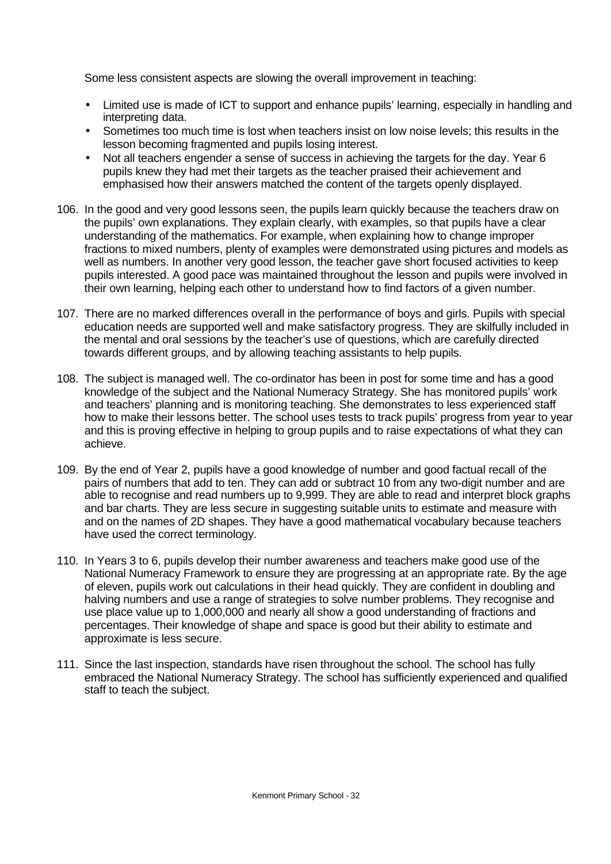Some less consistent aspects are slowing the overall improvement in teaching:

- Limited use is made of ICT to support and enhance pupils' learning, especially in handling and interpreting data.
- Sometimes too much time is lost when teachers insist on low noise levels; this results in the lesson becoming fragmented and pupils losing interest.
- Not all teachers engender a sense of success in achieving the targets for the day. Year 6 pupils knew they had met their targets as the teacher praised their achievement and emphasised how their answers matched the content of the targets openly displayed.
- 106. In the good and very good lessons seen, the pupils learn quickly because the teachers draw on the pupils' own explanations. They explain clearly, with examples, so that pupils have a clear understanding of the mathematics. For example, when explaining how to change improper fractions to mixed numbers, plenty of examples were demonstrated using pictures and models as well as numbers. In another very good lesson, the teacher gave short focused activities to keep pupils interested. A good pace was maintained throughout the lesson and pupils were involved in their own learning, helping each other to understand how to find factors of a given number.
- 107. There are no marked differences overall in the performance of boys and girls. Pupils with special education needs are supported well and make satisfactory progress. They are skilfully included in the mental and oral sessions by the teacher's use of questions, which are carefully directed towards different groups, and by allowing teaching assistants to help pupils.
- 108. The subject is managed well. The co-ordinator has been in post for some time and has a good knowledge of the subject and the National Numeracy Strategy. She has monitored pupils' work and teachers' planning and is monitoring teaching. She demonstrates to less experienced staff how to make their lessons better. The school uses tests to track pupils' progress from year to year and this is proving effective in helping to group pupils and to raise expectations of what they can achieve.
- 109. By the end of Year 2, pupils have a good knowledge of number and good factual recall of the pairs of numbers that add to ten. They can add or subtract 10 from any two-digit number and are able to recognise and read numbers up to 9,999. They are able to read and interpret block graphs and bar charts. They are less secure in suggesting suitable units to estimate and measure with and on the names of 2D shapes. They have a good mathematical vocabulary because teachers have used the correct terminology.
- 110. In Years 3 to 6, pupils develop their number awareness and teachers make good use of the National Numeracy Framework to ensure they are progressing at an appropriate rate. By the age of eleven, pupils work out calculations in their head quickly. They are confident in doubling and halving numbers and use a range of strategies to solve number problems. They recognise and use place value up to 1,000,000 and nearly all show a good understanding of fractions and percentages. Their knowledge of shape and space is good but their ability to estimate and approximate is less secure.
- 111. Since the last inspection, standards have risen throughout the school. The school has fully embraced the National Numeracy Strategy. The school has sufficiently experienced and qualified staff to teach the subject.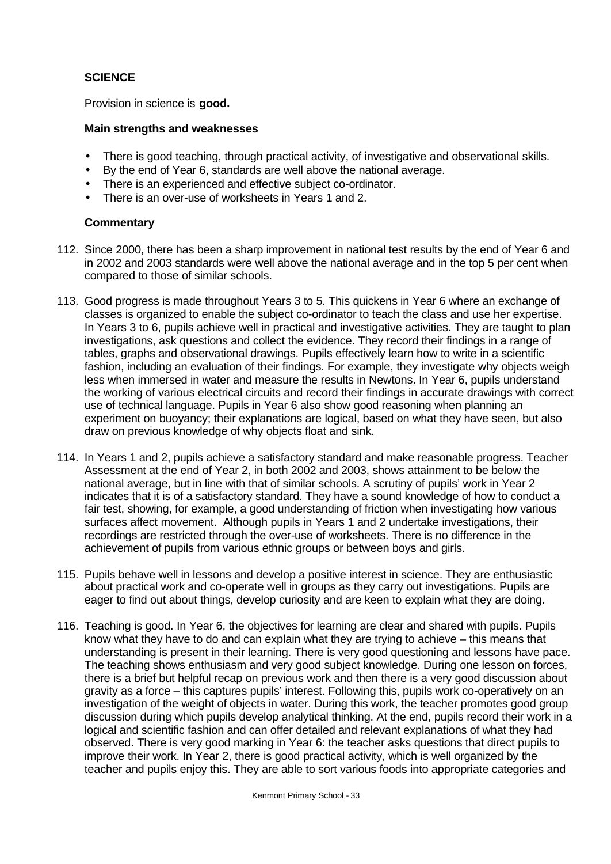# **SCIENCE**

Provision in science is **good.**

#### **Main strengths and weaknesses**

- There is good teaching, through practical activity, of investigative and observational skills.
- By the end of Year 6, standards are well above the national average.
- There is an experienced and effective subject co-ordinator.
- There is an over-use of worksheets in Years 1 and 2.

- 112. Since 2000, there has been a sharp improvement in national test results by the end of Year 6 and in 2002 and 2003 standards were well above the national average and in the top 5 per cent when compared to those of similar schools.
- 113. Good progress is made throughout Years 3 to 5. This quickens in Year 6 where an exchange of classes is organized to enable the subject co-ordinator to teach the class and use her expertise. In Years 3 to 6, pupils achieve well in practical and investigative activities. They are taught to plan investigations, ask questions and collect the evidence. They record their findings in a range of tables, graphs and observational drawings. Pupils effectively learn how to write in a scientific fashion, including an evaluation of their findings. For example, they investigate why objects weigh less when immersed in water and measure the results in Newtons. In Year 6, pupils understand the working of various electrical circuits and record their findings in accurate drawings with correct use of technical language. Pupils in Year 6 also show good reasoning when planning an experiment on buoyancy; their explanations are logical, based on what they have seen, but also draw on previous knowledge of why objects float and sink.
- 114. In Years 1 and 2, pupils achieve a satisfactory standard and make reasonable progress. Teacher Assessment at the end of Year 2, in both 2002 and 2003, shows attainment to be below the national average, but in line with that of similar schools. A scrutiny of pupils' work in Year 2 indicates that it is of a satisfactory standard. They have a sound knowledge of how to conduct a fair test, showing, for example, a good understanding of friction when investigating how various surfaces affect movement. Although pupils in Years 1 and 2 undertake investigations, their recordings are restricted through the over-use of worksheets. There is no difference in the achievement of pupils from various ethnic groups or between boys and girls.
- 115. Pupils behave well in lessons and develop a positive interest in science. They are enthusiastic about practical work and co-operate well in groups as they carry out investigations. Pupils are eager to find out about things, develop curiosity and are keen to explain what they are doing.
- 116. Teaching is good. In Year 6, the objectives for learning are clear and shared with pupils. Pupils know what they have to do and can explain what they are trying to achieve – this means that understanding is present in their learning. There is very good questioning and lessons have pace. The teaching shows enthusiasm and very good subject knowledge. During one lesson on forces, there is a brief but helpful recap on previous work and then there is a very good discussion about gravity as a force – this captures pupils' interest. Following this, pupils work co-operatively on an investigation of the weight of objects in water. During this work, the teacher promotes good group discussion during which pupils develop analytical thinking. At the end, pupils record their work in a logical and scientific fashion and can offer detailed and relevant explanations of what they had observed. There is very good marking in Year 6: the teacher asks questions that direct pupils to improve their work. In Year 2, there is good practical activity, which is well organized by the teacher and pupils enjoy this. They are able to sort various foods into appropriate categories and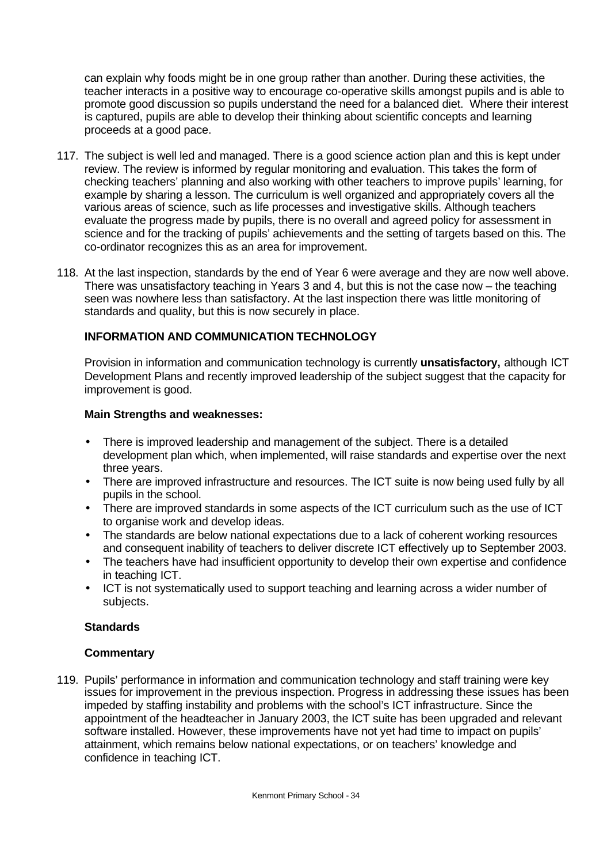can explain why foods might be in one group rather than another. During these activities, the teacher interacts in a positive way to encourage co-operative skills amongst pupils and is able to promote good discussion so pupils understand the need for a balanced diet. Where their interest is captured, pupils are able to develop their thinking about scientific concepts and learning proceeds at a good pace.

- 117. The subject is well led and managed. There is a good science action plan and this is kept under review. The review is informed by regular monitoring and evaluation. This takes the form of checking teachers' planning and also working with other teachers to improve pupils' learning, for example by sharing a lesson. The curriculum is well organized and appropriately covers all the various areas of science, such as life processes and investigative skills. Although teachers evaluate the progress made by pupils, there is no overall and agreed policy for assessment in science and for the tracking of pupils' achievements and the setting of targets based on this. The co-ordinator recognizes this as an area for improvement.
- 118. At the last inspection, standards by the end of Year 6 were average and they are now well above. There was unsatisfactory teaching in Years 3 and 4, but this is not the case now – the teaching seen was nowhere less than satisfactory. At the last inspection there was little monitoring of standards and quality, but this is now securely in place.

# **INFORMATION AND COMMUNICATION TECHNOLOGY**

Provision in information and communication technology is currently **unsatisfactory,** although ICT Development Plans and recently improved leadership of the subject suggest that the capacity for improvement is good.

#### **Main Strengths and weaknesses:**

- There is improved leadership and management of the subject. There is a detailed development plan which, when implemented, will raise standards and expertise over the next three years.
- There are improved infrastructure and resources. The ICT suite is now being used fully by all pupils in the school.
- There are improved standards in some aspects of the ICT curriculum such as the use of ICT to organise work and develop ideas.
- The standards are below national expectations due to a lack of coherent working resources and consequent inability of teachers to deliver discrete ICT effectively up to September 2003.
- The teachers have had insufficient opportunity to develop their own expertise and confidence in teaching ICT.
- ICT is not systematically used to support teaching and learning across a wider number of subjects.

#### **Standards**

# **Commentary**

119. Pupils' performance in information and communication technology and staff training were key issues for improvement in the previous inspection. Progress in addressing these issues has been impeded by staffing instability and problems with the school's ICT infrastructure. Since the appointment of the headteacher in January 2003, the ICT suite has been upgraded and relevant software installed. However, these improvements have not yet had time to impact on pupils' attainment, which remains below national expectations, or on teachers' knowledge and confidence in teaching ICT.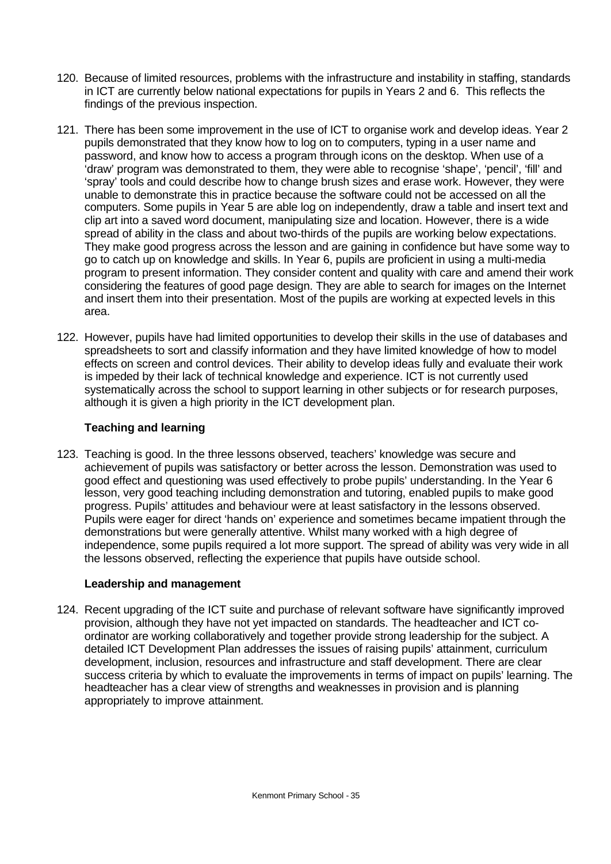- 120. Because of limited resources, problems with the infrastructure and instability in staffing, standards in ICT are currently below national expectations for pupils in Years 2 and 6. This reflects the findings of the previous inspection.
- 121. There has been some improvement in the use of ICT to organise work and develop ideas. Year 2 pupils demonstrated that they know how to log on to computers, typing in a user name and password, and know how to access a program through icons on the desktop. When use of a 'draw' program was demonstrated to them, they were able to recognise 'shape', 'pencil', 'fill' and 'spray' tools and could describe how to change brush sizes and erase work. However, they were unable to demonstrate this in practice because the software could not be accessed on all the computers. Some pupils in Year 5 are able log on independently, draw a table and insert text and clip art into a saved word document, manipulating size and location. However, there is a wide spread of ability in the class and about two-thirds of the pupils are working below expectations. They make good progress across the lesson and are gaining in confidence but have some way to go to catch up on knowledge and skills. In Year 6, pupils are proficient in using a multi-media program to present information. They consider content and quality with care and amend their work considering the features of good page design. They are able to search for images on the Internet and insert them into their presentation. Most of the pupils are working at expected levels in this area.
- 122. However, pupils have had limited opportunities to develop their skills in the use of databases and spreadsheets to sort and classify information and they have limited knowledge of how to model effects on screen and control devices. Their ability to develop ideas fully and evaluate their work is impeded by their lack of technical knowledge and experience. ICT is not currently used systematically across the school to support learning in other subjects or for research purposes, although it is given a high priority in the ICT development plan.

# **Teaching and learning**

123. Teaching is good. In the three lessons observed, teachers' knowledge was secure and achievement of pupils was satisfactory or better across the lesson. Demonstration was used to good effect and questioning was used effectively to probe pupils' understanding. In the Year 6 lesson, very good teaching including demonstration and tutoring, enabled pupils to make good progress. Pupils' attitudes and behaviour were at least satisfactory in the lessons observed. Pupils were eager for direct 'hands on' experience and sometimes became impatient through the demonstrations but were generally attentive. Whilst many worked with a high degree of independence, some pupils required a lot more support. The spread of ability was very wide in all the lessons observed, reflecting the experience that pupils have outside school.

# **Leadership and management**

124. Recent upgrading of the ICT suite and purchase of relevant software have significantly improved provision, although they have not yet impacted on standards. The headteacher and ICT coordinator are working collaboratively and together provide strong leadership for the subject. A detailed ICT Development Plan addresses the issues of raising pupils' attainment, curriculum development, inclusion, resources and infrastructure and staff development. There are clear success criteria by which to evaluate the improvements in terms of impact on pupils' learning. The headteacher has a clear view of strengths and weaknesses in provision and is planning appropriately to improve attainment.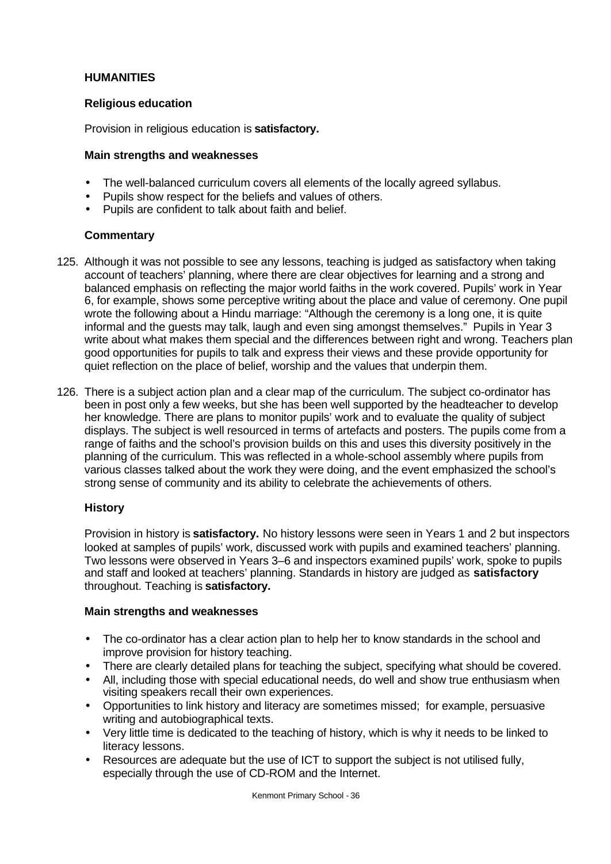# **HUMANITIES**

# **Religious education**

Provision in religious education is **satisfactory.**

# **Main strengths and weaknesses**

- The well-balanced curriculum covers all elements of the locally agreed syllabus.
- Pupils show respect for the beliefs and values of others.
- Pupils are confident to talk about faith and belief.

# **Commentary**

- 125. Although it was not possible to see any lessons, teaching is judged as satisfactory when taking account of teachers' planning, where there are clear objectives for learning and a strong and balanced emphasis on reflecting the major world faiths in the work covered. Pupils' work in Year 6, for example, shows some perceptive writing about the place and value of ceremony. One pupil wrote the following about a Hindu marriage: "Although the ceremony is a long one, it is quite informal and the guests may talk, laugh and even sing amongst themselves." Pupils in Year 3 write about what makes them special and the differences between right and wrong. Teachers plan good opportunities for pupils to talk and express their views and these provide opportunity for quiet reflection on the place of belief, worship and the values that underpin them.
- 126. There is a subject action plan and a clear map of the curriculum. The subject co-ordinator has been in post only a few weeks, but she has been well supported by the headteacher to develop her knowledge. There are plans to monitor pupils' work and to evaluate the quality of subject displays. The subject is well resourced in terms of artefacts and posters. The pupils come from a range of faiths and the school's provision builds on this and uses this diversity positively in the planning of the curriculum. This was reflected in a whole-school assembly where pupils from various classes talked about the work they were doing, and the event emphasized the school's strong sense of community and its ability to celebrate the achievements of others.

# **History**

Provision in history is **satisfactory.** No history lessons were seen in Years 1 and 2 but inspectors looked at samples of pupils' work, discussed work with pupils and examined teachers' planning. Two lessons were observed in Years 3–6 and inspectors examined pupils' work, spoke to pupils and staff and looked at teachers' planning. Standards in history are judged as **satisfactory** throughout. Teaching is **satisfactory.**

### **Main strengths and weaknesses**

- The co-ordinator has a clear action plan to help her to know standards in the school and improve provision for history teaching.
- There are clearly detailed plans for teaching the subject, specifying what should be covered.
- All, including those with special educational needs, do well and show true enthusiasm when visiting speakers recall their own experiences.
- Opportunities to link history and literacy are sometimes missed; for example, persuasive writing and autobiographical texts.
- Very little time is dedicated to the teaching of history, which is why it needs to be linked to literacy lessons.
- Resources are adequate but the use of ICT to support the subject is not utilised fully, especially through the use of CD-ROM and the Internet.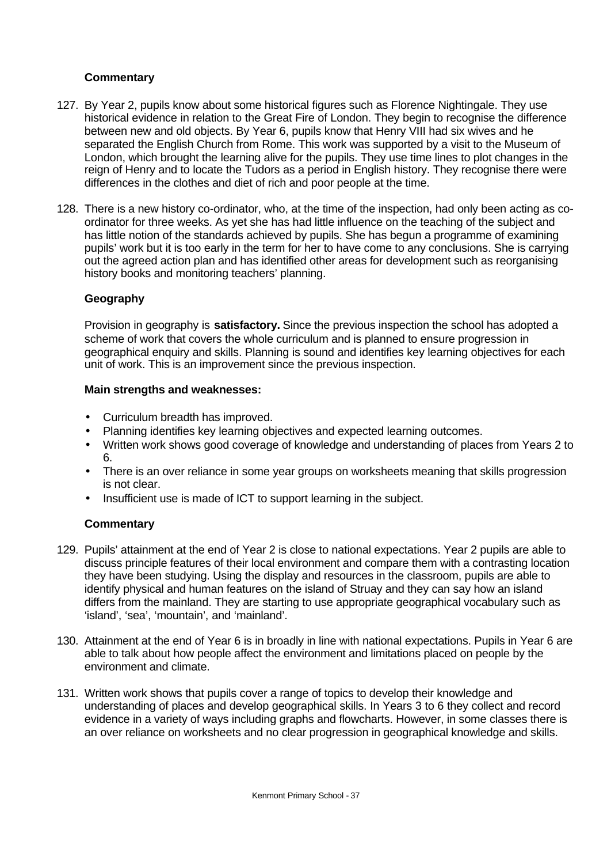# **Commentary**

- 127. By Year 2, pupils know about some historical figures such as Florence Nightingale. They use historical evidence in relation to the Great Fire of London. They begin to recognise the difference between new and old objects. By Year 6, pupils know that Henry VIII had six wives and he separated the English Church from Rome. This work was supported by a visit to the Museum of London, which brought the learning alive for the pupils. They use time lines to plot changes in the reign of Henry and to locate the Tudors as a period in English history. They recognise there were differences in the clothes and diet of rich and poor people at the time.
- 128. There is a new history co-ordinator, who, at the time of the inspection, had only been acting as coordinator for three weeks. As yet she has had little influence on the teaching of the subject and has little notion of the standards achieved by pupils. She has begun a programme of examining pupils' work but it is too early in the term for her to have come to any conclusions. She is carrying out the agreed action plan and has identified other areas for development such as reorganising history books and monitoring teachers' planning.

# **Geography**

Provision in geography is **satisfactory.** Since the previous inspection the school has adopted a scheme of work that covers the whole curriculum and is planned to ensure progression in geographical enquiry and skills. Planning is sound and identifies key learning objectives for each unit of work. This is an improvement since the previous inspection.

#### **Main strengths and weaknesses:**

- Curriculum breadth has improved.
- Planning identifies key learning objectives and expected learning outcomes.
- Written work shows good coverage of knowledge and understanding of places from Years 2 to 6.
- There is an over reliance in some year groups on worksheets meaning that skills progression is not clear.
- Insufficient use is made of ICT to support learning in the subject.

- 129. Pupils' attainment at the end of Year 2 is close to national expectations. Year 2 pupils are able to discuss principle features of their local environment and compare them with a contrasting location they have been studying. Using the display and resources in the classroom, pupils are able to identify physical and human features on the island of Struay and they can say how an island differs from the mainland. They are starting to use appropriate geographical vocabulary such as 'island', 'sea', 'mountain', and 'mainland'.
- 130. Attainment at the end of Year 6 is in broadly in line with national expectations. Pupils in Year 6 are able to talk about how people affect the environment and limitations placed on people by the environment and climate.
- 131. Written work shows that pupils cover a range of topics to develop their knowledge and understanding of places and develop geographical skills. In Years 3 to 6 they collect and record evidence in a variety of ways including graphs and flowcharts. However, in some classes there is an over reliance on worksheets and no clear progression in geographical knowledge and skills.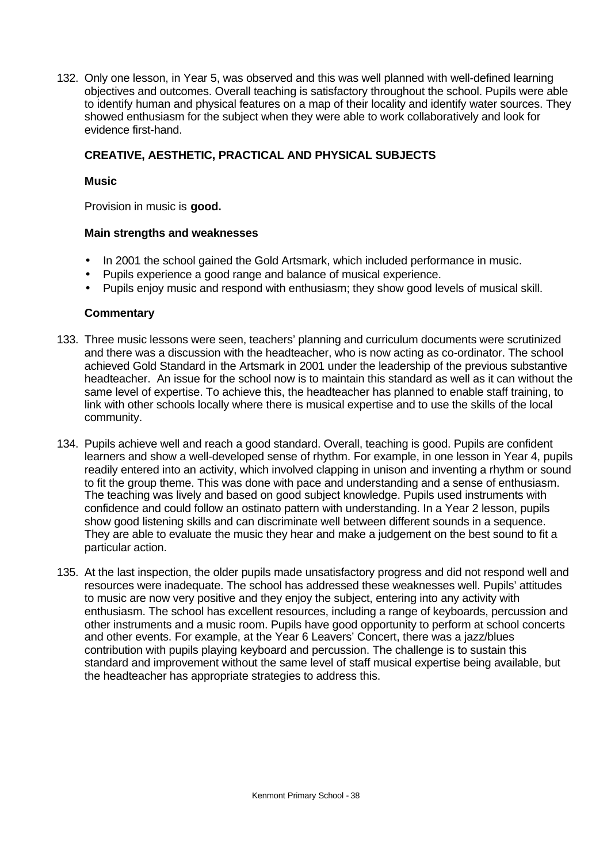132. Only one lesson, in Year 5, was observed and this was well planned with well-defined learning objectives and outcomes. Overall teaching is satisfactory throughout the school. Pupils were able to identify human and physical features on a map of their locality and identify water sources. They showed enthusiasm for the subject when they were able to work collaboratively and look for evidence first-hand.

# **CREATIVE, AESTHETIC, PRACTICAL AND PHYSICAL SUBJECTS**

### **Music**

Provision in music is **good.**

#### **Main strengths and weaknesses**

- In 2001 the school gained the Gold Artsmark, which included performance in music.
- Pupils experience a good range and balance of musical experience.
- Pupils enjoy music and respond with enthusiasm; they show good levels of musical skill.

- 133. Three music lessons were seen, teachers' planning and curriculum documents were scrutinized and there was a discussion with the headteacher, who is now acting as co-ordinator. The school achieved Gold Standard in the Artsmark in 2001 under the leadership of the previous substantive headteacher. An issue for the school now is to maintain this standard as well as it can without the same level of expertise. To achieve this, the headteacher has planned to enable staff training, to link with other schools locally where there is musical expertise and to use the skills of the local community.
- 134. Pupils achieve well and reach a good standard. Overall, teaching is good. Pupils are confident learners and show a well-developed sense of rhythm. For example, in one lesson in Year 4, pupils readily entered into an activity, which involved clapping in unison and inventing a rhythm or sound to fit the group theme. This was done with pace and understanding and a sense of enthusiasm. The teaching was lively and based on good subject knowledge. Pupils used instruments with confidence and could follow an ostinato pattern with understanding. In a Year 2 lesson, pupils show good listening skills and can discriminate well between different sounds in a sequence. They are able to evaluate the music they hear and make a judgement on the best sound to fit a particular action.
- 135. At the last inspection, the older pupils made unsatisfactory progress and did not respond well and resources were inadequate. The school has addressed these weaknesses well. Pupils' attitudes to music are now very positive and they enjoy the subject, entering into any activity with enthusiasm. The school has excellent resources, including a range of keyboards, percussion and other instruments and a music room. Pupils have good opportunity to perform at school concerts and other events. For example, at the Year 6 Leavers' Concert, there was a jazz/blues contribution with pupils playing keyboard and percussion. The challenge is to sustain this standard and improvement without the same level of staff musical expertise being available, but the headteacher has appropriate strategies to address this.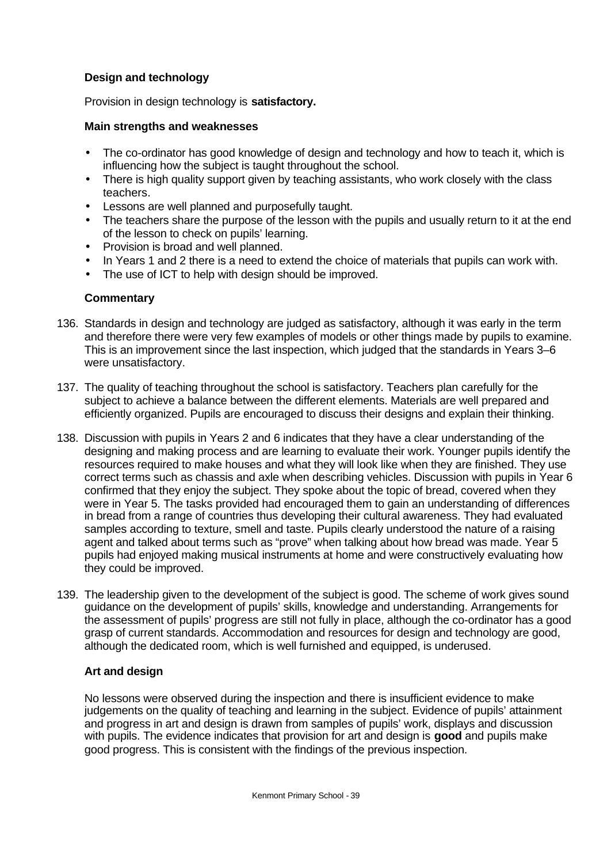# **Design and technology**

Provision in design technology is **satisfactory.**

#### **Main strengths and weaknesses**

- The co-ordinator has good knowledge of design and technology and how to teach it, which is influencing how the subject is taught throughout the school.
- There is high quality support given by teaching assistants, who work closely with the class teachers.
- Lessons are well planned and purposefully taught.
- The teachers share the purpose of the lesson with the pupils and usually return to it at the end of the lesson to check on pupils' learning.
- Provision is broad and well planned.
- In Years 1 and 2 there is a need to extend the choice of materials that pupils can work with.
- The use of ICT to help with design should be improved.

# **Commentary**

- 136. Standards in design and technology are judged as satisfactory, although it was early in the term and therefore there were very few examples of models or other things made by pupils to examine. This is an improvement since the last inspection, which judged that the standards in Years 3–6 were unsatisfactory.
- 137. The quality of teaching throughout the school is satisfactory. Teachers plan carefully for the subject to achieve a balance between the different elements. Materials are well prepared and efficiently organized. Pupils are encouraged to discuss their designs and explain their thinking.
- 138. Discussion with pupils in Years 2 and 6 indicates that they have a clear understanding of the designing and making process and are learning to evaluate their work. Younger pupils identify the resources required to make houses and what they will look like when they are finished. They use correct terms such as chassis and axle when describing vehicles. Discussion with pupils in Year 6 confirmed that they enjoy the subject. They spoke about the topic of bread, covered when they were in Year 5. The tasks provided had encouraged them to gain an understanding of differences in bread from a range of countries thus developing their cultural awareness. They had evaluated samples according to texture, smell and taste. Pupils clearly understood the nature of a raising agent and talked about terms such as "prove" when talking about how bread was made. Year 5 pupils had enjoyed making musical instruments at home and were constructively evaluating how they could be improved.
- 139. The leadership given to the development of the subject is good. The scheme of work gives sound guidance on the development of pupils' skills, knowledge and understanding. Arrangements for the assessment of pupils' progress are still not fully in place, although the co-ordinator has a good grasp of current standards. Accommodation and resources for design and technology are good, although the dedicated room, which is well furnished and equipped, is underused.

#### **Art and design**

No lessons were observed during the inspection and there is insufficient evidence to make judgements on the quality of teaching and learning in the subject. Evidence of pupils' attainment and progress in art and design is drawn from samples of pupils' work, displays and discussion with pupils. The evidence indicates that provision for art and design is **good** and pupils make good progress. This is consistent with the findings of the previous inspection.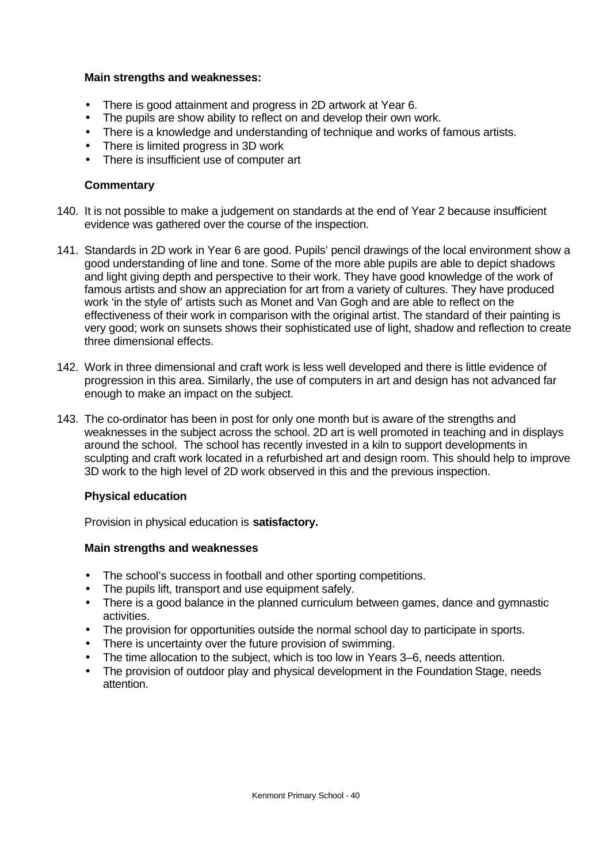#### **Main strengths and weaknesses:**

- There is good attainment and progress in 2D artwork at Year 6.
- The pupils are show ability to reflect on and develop their own work.
- There is a knowledge and understanding of technique and works of famous artists.
- There is limited progress in 3D work
- There is insufficient use of computer art

#### **Commentary**

- 140. It is not possible to make a judgement on standards at the end of Year 2 because insufficient evidence was gathered over the course of the inspection.
- 141. Standards in 2D work in Year 6 are good. Pupils' pencil drawings of the local environment show a good understanding of line and tone. Some of the more able pupils are able to depict shadows and light giving depth and perspective to their work. They have good knowledge of the work of famous artists and show an appreciation for art from a variety of cultures. They have produced work 'in the style of' artists such as Monet and Van Gogh and are able to reflect on the effectiveness of their work in comparison with the original artist. The standard of their painting is very good; work on sunsets shows their sophisticated use of light, shadow and reflection to create three dimensional effects.
- 142. Work in three dimensional and craft work is less well developed and there is little evidence of progression in this area. Similarly, the use of computers in art and design has not advanced far enough to make an impact on the subject.
- 143. The co-ordinator has been in post for only one month but is aware of the strengths and weaknesses in the subject across the school. 2D art is well promoted in teaching and in displays around the school. The school has recently invested in a kiln to support developments in sculpting and craft work located in a refurbished art and design room. This should help to improve 3D work to the high level of 2D work observed in this and the previous inspection.

#### **Physical education**

Provision in physical education is **satisfactory.**

#### **Main strengths and weaknesses**

- The school's success in football and other sporting competitions.
- The pupils lift, transport and use equipment safely.
- There is a good balance in the planned curriculum between games, dance and gymnastic activities.
- The provision for opportunities outside the normal school day to participate in sports.
- There is uncertainty over the future provision of swimming.
- The time allocation to the subject, which is too low in Years 3–6, needs attention.
- The provision of outdoor play and physical development in the Foundation Stage, needs attention.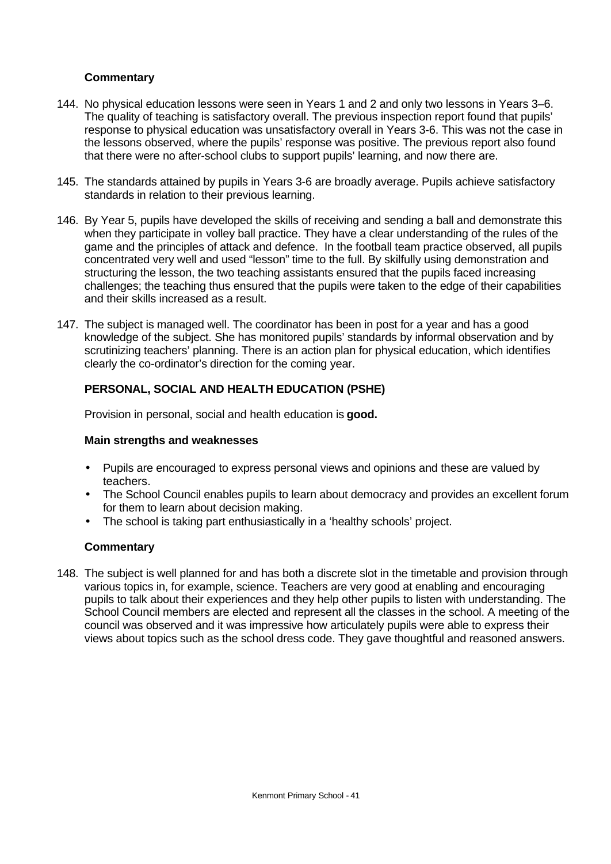# **Commentary**

- 144. No physical education lessons were seen in Years 1 and 2 and only two lessons in Years 3–6. The quality of teaching is satisfactory overall. The previous inspection report found that pupils' response to physical education was unsatisfactory overall in Years 3-6. This was not the case in the lessons observed, where the pupils' response was positive. The previous report also found that there were no after-school clubs to support pupils' learning, and now there are.
- 145. The standards attained by pupils in Years 3-6 are broadly average. Pupils achieve satisfactory standards in relation to their previous learning.
- 146. By Year 5, pupils have developed the skills of receiving and sending a ball and demonstrate this when they participate in volley ball practice. They have a clear understanding of the rules of the game and the principles of attack and defence. In the football team practice observed, all pupils concentrated very well and used "lesson" time to the full. By skilfully using demonstration and structuring the lesson, the two teaching assistants ensured that the pupils faced increasing challenges; the teaching thus ensured that the pupils were taken to the edge of their capabilities and their skills increased as a result.
- 147. The subject is managed well. The coordinator has been in post for a year and has a good knowledge of the subject. She has monitored pupils' standards by informal observation and by scrutinizing teachers' planning. There is an action plan for physical education, which identifies clearly the co-ordinator's direction for the coming year.

# **PERSONAL, SOCIAL AND HEALTH EDUCATION (PSHE)**

Provision in personal, social and health education is **good.**

#### **Main strengths and weaknesses**

- Pupils are encouraged to express personal views and opinions and these are valued by teachers.
- The School Council enables pupils to learn about democracy and provides an excellent forum for them to learn about decision making.
- The school is taking part enthusiastically in a 'healthy schools' project.

#### **Commentary**

148. The subject is well planned for and has both a discrete slot in the timetable and provision through various topics in, for example, science. Teachers are very good at enabling and encouraging pupils to talk about their experiences and they help other pupils to listen with understanding. The School Council members are elected and represent all the classes in the school. A meeting of the council was observed and it was impressive how articulately pupils were able to express their views about topics such as the school dress code. They gave thoughtful and reasoned answers.